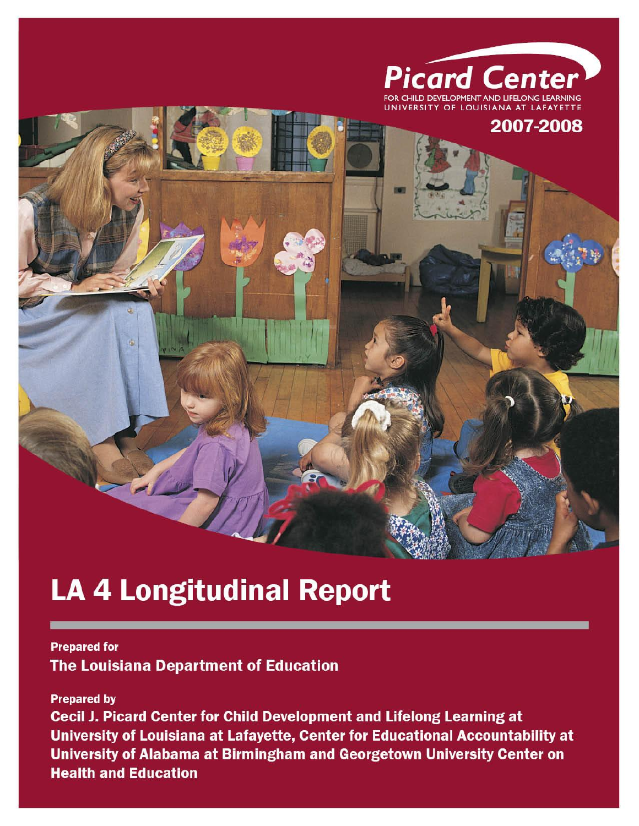

# 2007-2008

# **LA 4 Longitudinal Report**

### **Prepared for The Louisiana Department of Education**

**Prepared by** 

Cecil J. Picard Center for Child Development and Lifelong Learning at University of Louisiana at Lafayette, Center for Educational Accountability at University of Alabama at Birmingham and Georgetown University Center on **Health and Education**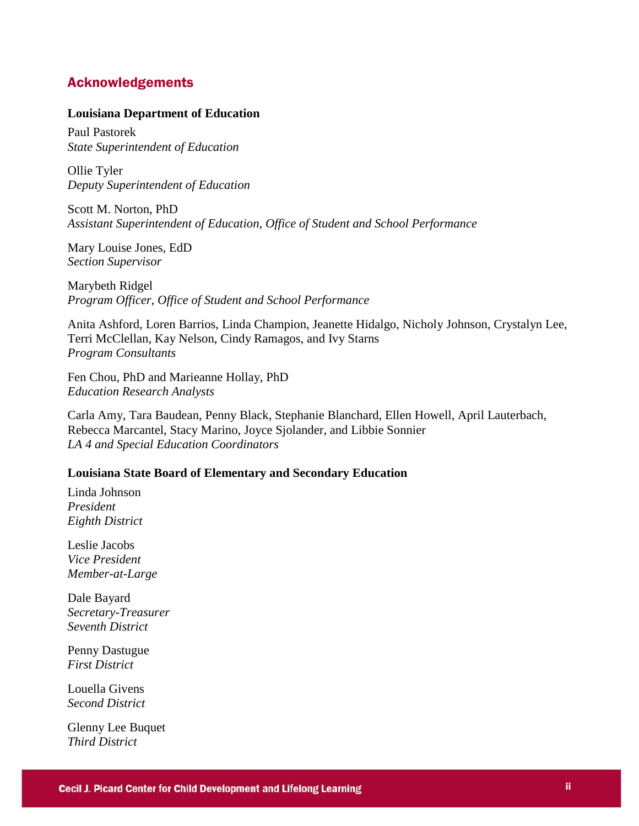### Acknowledgements

#### **Louisiana Department of Education**

Paul Pastorek *State Superintendent of Education*

Ollie Tyler *Deputy Superintendent of Education*

Scott M. Norton, PhD *Assistant Superintendent of Education, Office of Student and School Performance*

Mary Louise Jones, EdD *Section Supervisor*

Marybeth Ridgel *Program Officer, Office of Student and School Performance*

Anita Ashford, Loren Barrios, Linda Champion, Jeanette Hidalgo, Nicholy Johnson, Crystalyn Lee, Terri McClellan, Kay Nelson, Cindy Ramagos, and Ivy Starns *Program Consultants* 

Fen Chou, PhD and Marieanne Hollay, PhD *Education Research Analysts*

Carla Amy, Tara Baudean, Penny Black, Stephanie Blanchard, Ellen Howell, April Lauterbach, Rebecca Marcantel, Stacy Marino, Joyce Sjolander, and Libbie Sonnier *LA 4 and Special Education Coordinators* 

### **Louisiana State Board of Elementary and Secondary Education**

Linda Johnson *President Eighth District*

Leslie Jacobs *Vice President Member-at-Large*

Dale Bayard *Secretary-Treasurer Seventh District*

Penny Dastugue *First District*

Louella Givens *Second District*

Glenny Lee Buquet *Third District*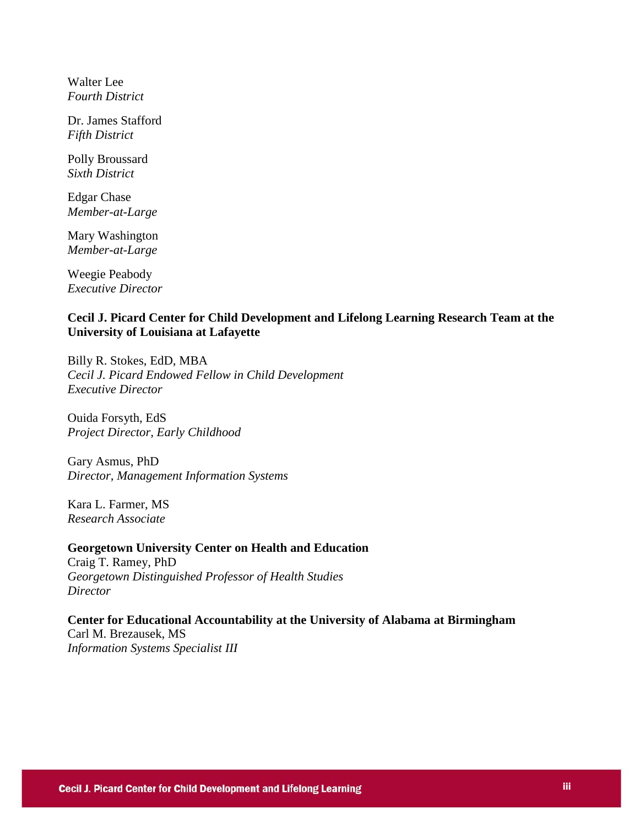Walter Lee *Fourth District*

Dr. James Stafford *Fifth District*

Polly Broussard *Sixth District*

Edgar Chase *Member-at-Large*

Mary Washington *Member-at-Large*

Weegie Peabody *Executive Director* 

### **Cecil J. Picard Center for Child Development and Lifelong Learning Research Team at the University of Louisiana at Lafayette**

Billy R. Stokes, EdD, MBA *Cecil J. Picard Endowed Fellow in Child Development Executive Director*

Ouida Forsyth, EdS *Project Director, Early Childhood*

Gary Asmus, PhD *Director, Management Information Systems*

Kara L. Farmer, MS *Research Associate*

**Georgetown University Center on Health and Education**  Craig T. Ramey, PhD *Georgetown Distinguished Professor of Health Studies Director*

**Center for Educational Accountability at the University of Alabama at Birmingham**  Carl M. Brezausek, MS *Information Systems Specialist III*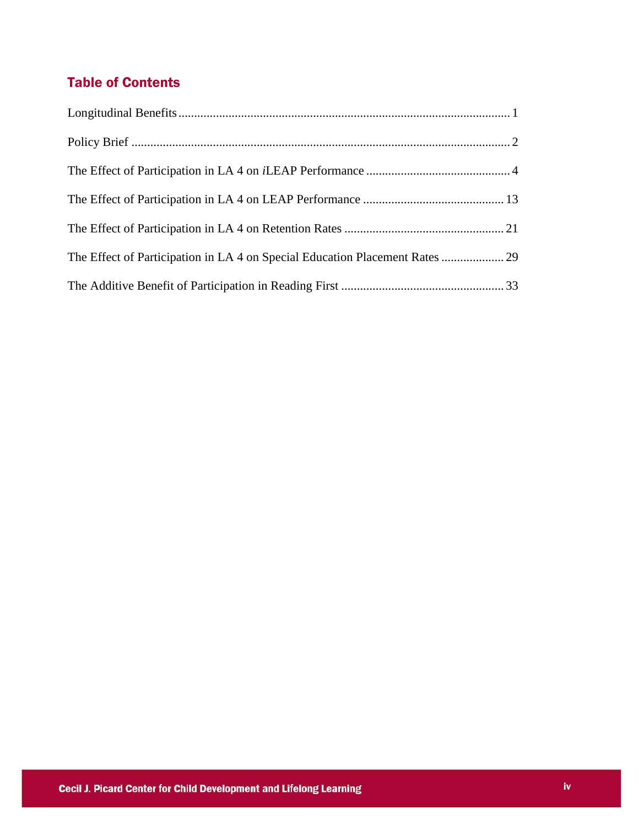## Table of Contents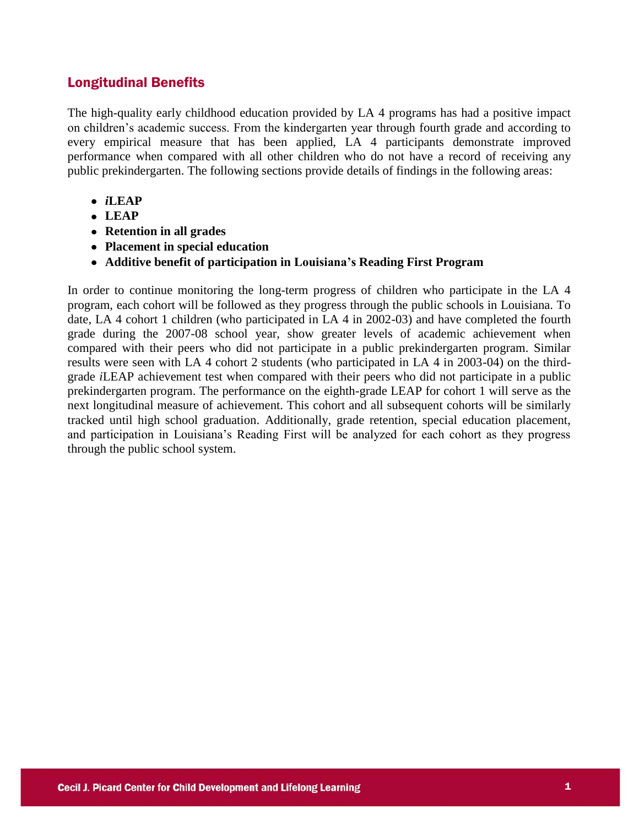### Longitudinal Benefits

The high-quality early childhood education provided by LA 4 programs has had a positive impact on children's academic success. From the kindergarten year through fourth grade and according to every empirical measure that has been applied, LA 4 participants demonstrate improved performance when compared with all other children who do not have a record of receiving any public prekindergarten. The following sections provide details of findings in the following areas:

- *i***LEAP**
- **LEAP**
- **Retention in all grades**
- **Placement in special education**
- **Additive benefit of participation in Louisiana's Reading First Program**

In order to continue monitoring the long-term progress of children who participate in the LA 4 program, each cohort will be followed as they progress through the public schools in Louisiana. To date, LA 4 cohort 1 children (who participated in LA 4 in 2002-03) and have completed the fourth grade during the 2007-08 school year, show greater levels of academic achievement when compared with their peers who did not participate in a public prekindergarten program. Similar results were seen with LA 4 cohort 2 students (who participated in LA 4 in 2003-04) on the thirdgrade *i*LEAP achievement test when compared with their peers who did not participate in a public prekindergarten program. The performance on the eighth-grade LEAP for cohort 1 will serve as the next longitudinal measure of achievement. This cohort and all subsequent cohorts will be similarly tracked until high school graduation. Additionally, grade retention, special education placement, and participation in Louisiana's Reading First will be analyzed for each cohort as they progress through the public school system.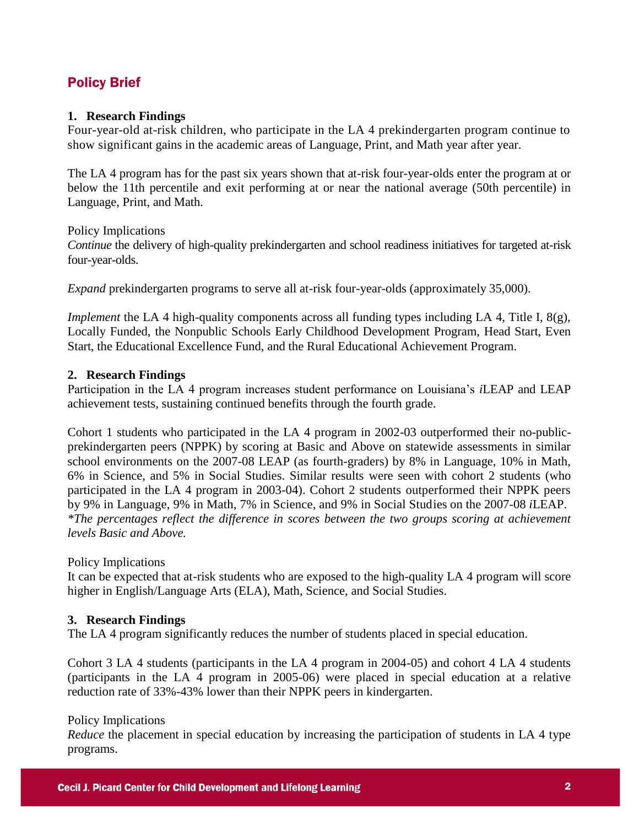### Policy Brief

### **1. Research Findings**

Four-year-old at-risk children, who participate in the LA 4 prekindergarten program continue to show significant gains in the academic areas of Language, Print, and Math year after year.

The LA 4 program has for the past six years shown that at-risk four-year-olds enter the program at or below the 11th percentile and exit performing at or near the national average (50th percentile) in Language, Print, and Math.

Policy Implications *Continue* the delivery of high-quality prekindergarten and school readiness initiatives for targeted at-risk four-year-olds.

*Expand* prekindergarten programs to serve all at-risk four-year-olds (approximately 35,000).

*Implement* the LA 4 high-quality components across all funding types including LA 4, Title I, 8(g), Locally Funded, the Nonpublic Schools Early Childhood Development Program, Head Start, Even Start, the Educational Excellence Fund, and the Rural Educational Achievement Program.

### **2. Research Findings**

Participation in the LA 4 program increases student performance on Louisiana's *i*LEAP and LEAP achievement tests, sustaining continued benefits through the fourth grade.

Cohort 1 students who participated in the LA 4 program in 2002-03 outperformed their no-publicprekindergarten peers (NPPK) by scoring at Basic and Above on statewide assessments in similar school environments on the 2007-08 LEAP (as fourth-graders) by 8% in Language, 10% in Math, 6% in Science, and 5% in Social Studies. Similar results were seen with cohort 2 students (who participated in the LA 4 program in 2003-04). Cohort 2 students outperformed their NPPK peers by 9% in Language, 9% in Math, 7% in Science, and 9% in Social Studies on the 2007-08 *i*LEAP. *\*The percentages reflect the difference in scores between the two groups scoring at achievement levels Basic and Above.*

### Policy Implications

It can be expected that at-risk students who are exposed to the high-quality LA 4 program will score higher in English/Language Arts (ELA), Math, Science, and Social Studies.

### **3. Research Findings**

The LA 4 program significantly reduces the number of students placed in special education.

Cohort 3 LA 4 students (participants in the LA 4 program in 2004-05) and cohort 4 LA 4 students (participants in the LA 4 program in 2005-06) were placed in special education at a relative reduction rate of 33%-43% lower than their NPPK peers in kindergarten.

### Policy Implications

*Reduce* the placement in special education by increasing the participation of students in LA 4 type programs.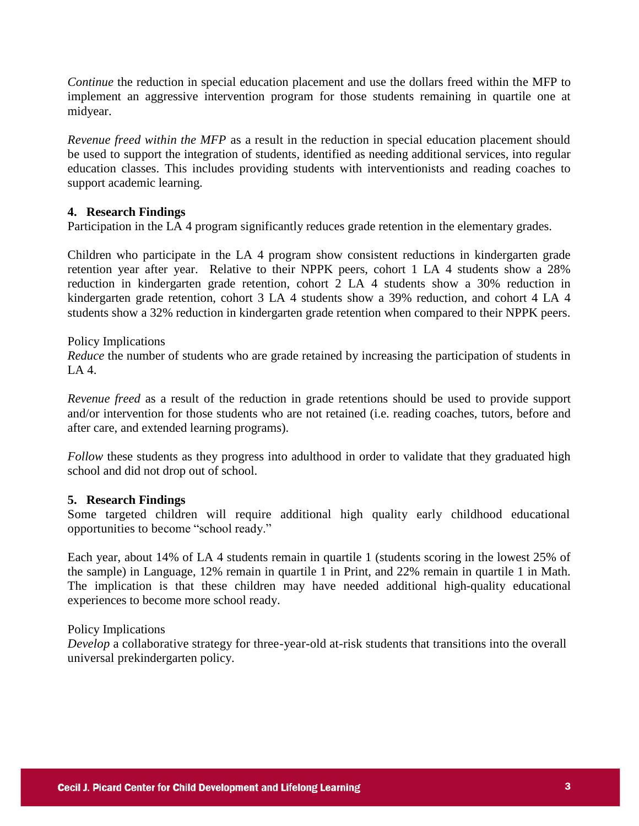*Continue* the reduction in special education placement and use the dollars freed within the MFP to implement an aggressive intervention program for those students remaining in quartile one at midyear.

*Revenue freed within the MFP* as a result in the reduction in special education placement should be used to support the integration of students, identified as needing additional services, into regular education classes. This includes providing students with interventionists and reading coaches to support academic learning.

### **4. Research Findings**

Participation in the LA 4 program significantly reduces grade retention in the elementary grades.

Children who participate in the LA 4 program show consistent reductions in kindergarten grade retention year after year. Relative to their NPPK peers, cohort 1 LA 4 students show a 28% reduction in kindergarten grade retention, cohort 2 LA 4 students show a 30% reduction in kindergarten grade retention, cohort 3 LA 4 students show a 39% reduction, and cohort 4 LA 4 students show a 32% reduction in kindergarten grade retention when compared to their NPPK peers.

### Policy Implications

*Reduce* the number of students who are grade retained by increasing the participation of students in  $LA4$ 

*Revenue freed* as a result of the reduction in grade retentions should be used to provide support and/or intervention for those students who are not retained (i.e. reading coaches, tutors, before and after care, and extended learning programs).

*Follow* these students as they progress into adulthood in order to validate that they graduated high school and did not drop out of school.

### **5. Research Findings**

Some targeted children will require additional high quality early childhood educational opportunities to become "school ready."

Each year, about 14% of LA 4 students remain in quartile 1 (students scoring in the lowest 25% of the sample) in Language, 12% remain in quartile 1 in Print, and 22% remain in quartile 1 in Math. The implication is that these children may have needed additional high-quality educational experiences to become more school ready.

### Policy Implications

*Develop* a collaborative strategy for three-year-old at-risk students that transitions into the overall universal prekindergarten policy.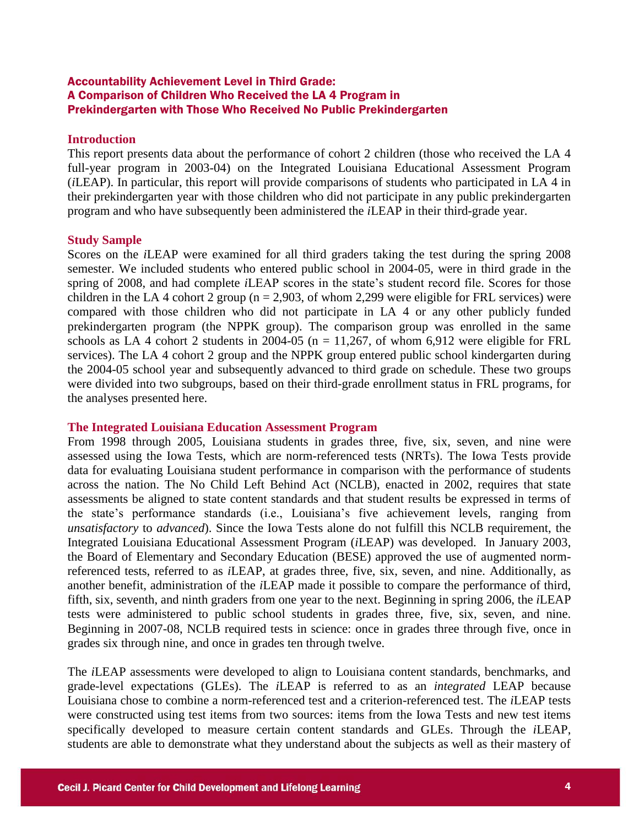### Accountability Achievement Level in Third Grade: A Comparison of Children Who Received the LA 4 Program in Prekindergarten with Those Who Received No Public Prekindergarten

### **Introduction**

This report presents data about the performance of cohort 2 children (those who received the LA 4 full-year program in 2003-04) on the Integrated Louisiana Educational Assessment Program (*i*LEAP). In particular, this report will provide comparisons of students who participated in LA 4 in their prekindergarten year with those children who did not participate in any public prekindergarten program and who have subsequently been administered the *i*LEAP in their third-grade year.

### **Study Sample**

Scores on the *i*LEAP were examined for all third graders taking the test during the spring 2008 semester. We included students who entered public school in 2004-05, were in third grade in the spring of 2008, and had complete *i*LEAP scores in the state's student record file. Scores for those children in the LA 4 cohort 2 group ( $n = 2,903$ , of whom 2,299 were eligible for FRL services) were compared with those children who did not participate in LA 4 or any other publicly funded prekindergarten program (the NPPK group). The comparison group was enrolled in the same schools as LA 4 cohort 2 students in 2004-05 ( $n = 11,267$ , of whom 6,912 were eligible for FRL services). The LA 4 cohort 2 group and the NPPK group entered public school kindergarten during the 2004-05 school year and subsequently advanced to third grade on schedule. These two groups were divided into two subgroups, based on their third-grade enrollment status in FRL programs, for the analyses presented here.

### **The Integrated Louisiana Education Assessment Program**

From 1998 through 2005, Louisiana students in grades three, five, six, seven, and nine were assessed using the Iowa Tests, which are norm-referenced tests (NRTs). The Iowa Tests provide data for evaluating Louisiana student performance in comparison with the performance of students across the nation. The No Child Left Behind Act (NCLB), enacted in 2002, requires that state assessments be aligned to state content standards and that student results be expressed in terms of the state's performance standards (i.e., Louisiana's five achievement levels, ranging from *unsatisfactory* to *advanced*). Since the Iowa Tests alone do not fulfill this NCLB requirement, the Integrated Louisiana Educational Assessment Program (*i*LEAP) was developed. In January 2003, the Board of Elementary and Secondary Education (BESE) approved the use of augmented normreferenced tests, referred to as *i*LEAP, at grades three, five, six, seven, and nine. Additionally, as another benefit, administration of the *i*LEAP made it possible to compare the performance of third, fifth, six, seventh, and ninth graders from one year to the next. Beginning in spring 2006, the *i*LEAP tests were administered to public school students in grades three, five, six, seven, and nine. Beginning in 2007-08, NCLB required tests in science: once in grades three through five, once in grades six through nine, and once in grades ten through twelve.

The *i*LEAP assessments were developed to align to Louisiana content standards, benchmarks, and grade-level expectations (GLEs). The *i*LEAP is referred to as an *integrated* LEAP because Louisiana chose to combine a norm-referenced test and a criterion-referenced test. The *i*LEAP tests were constructed using test items from two sources: items from the Iowa Tests and new test items specifically developed to measure certain content standards and GLEs. Through the *i*LEAP, students are able to demonstrate what they understand about the subjects as well as their mastery of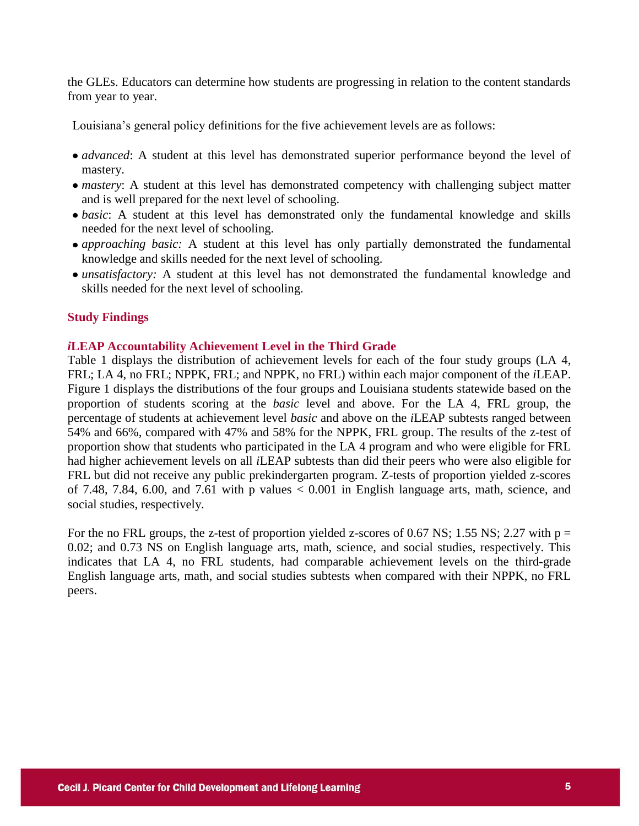the GLEs. Educators can determine how students are progressing in relation to the content standards from year to year.

Louisiana's general policy definitions for the five achievement levels are as follows:

- *advanced*: A student at this level has demonstrated superior performance beyond the level of mastery.
- *mastery*: A student at this level has demonstrated competency with challenging subject matter and is well prepared for the next level of schooling.
- *basic*: A student at this level has demonstrated only the fundamental knowledge and skills needed for the next level of schooling.
- *approaching basic:* A student at this level has only partially demonstrated the fundamental knowledge and skills needed for the next level of schooling.
- *unsatisfactory:* A student at this level has not demonstrated the fundamental knowledge and skills needed for the next level of schooling.

### **Study Findings**

### *i***LEAP Accountability Achievement Level in the Third Grade**

Table 1 displays the distribution of achievement levels for each of the four study groups (LA 4, FRL; LA 4, no FRL; NPPK, FRL; and NPPK, no FRL) within each major component of the *i*LEAP. Figure 1 displays the distributions of the four groups and Louisiana students statewide based on the proportion of students scoring at the *basic* level and above. For the LA 4, FRL group, the percentage of students at achievement level *basic* and above on the *i*LEAP subtests ranged between 54% and 66%, compared with 47% and 58% for the NPPK, FRL group. The results of the z-test of proportion show that students who participated in the LA 4 program and who were eligible for FRL had higher achievement levels on all *i*LEAP subtests than did their peers who were also eligible for FRL but did not receive any public prekindergarten program. Z-tests of proportion yielded z-scores of 7.48, 7.84, 6.00, and 7.61 with p values  $< 0.001$  in English language arts, math, science, and social studies, respectively.

For the no FRL groups, the z-test of proportion yielded z-scores of 0.67 NS; 1.55 NS; 2.27 with  $p =$ 0.02; and 0.73 NS on English language arts, math, science, and social studies, respectively. This indicates that LA 4, no FRL students, had comparable achievement levels on the third-grade English language arts, math, and social studies subtests when compared with their NPPK, no FRL peers.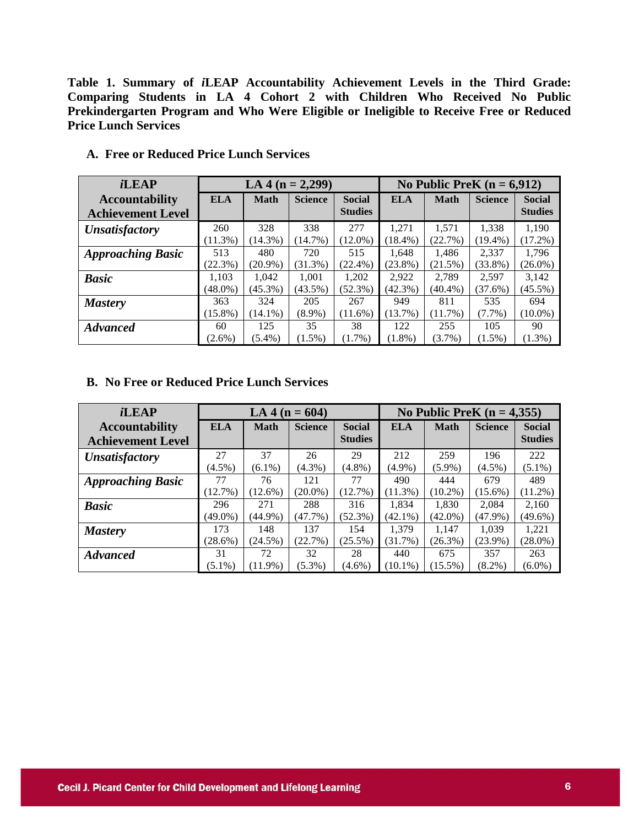**Table 1. Summary of** *i***LEAP Accountability Achievement Levels in the Third Grade: Comparing Students in LA 4 Cohort 2 with Children Who Received No Public Prekindergarten Program and Who Were Eligible or Ineligible to Receive Free or Reduced Price Lunch Services**

| <i>i</i> LEAP                |            |             | LA 4 ( $n = 2,299$ ) |                |            |             | No Public PreK $(n = 6.912)$ |                |
|------------------------------|------------|-------------|----------------------|----------------|------------|-------------|------------------------------|----------------|
| <b>Accountability</b>        | <b>ELA</b> | <b>Math</b> | <b>Science</b>       | <b>Social</b>  | <b>ELA</b> | <b>Math</b> | <b>Science</b>               | <b>Social</b>  |
| <b>Achievement Level</b>     |            |             |                      | <b>Studies</b> |            |             |                              | <b>Studies</b> |
| <i><b>Unsatisfactory</b></i> | 260        | 328         | 338                  | 277            | 1.271      | 1.571       | 1,338                        | 1,190          |
|                              | $(11.3\%)$ | $(14.3\%)$  | $(14.7\%)$           | $(12.0\%)$     | $(18.4\%)$ | (22.7%)     | $(19.4\%)$                   | (17.2%)        |
| <b>Approaching Basic</b>     | 513        | 480         | 720                  | 515            | 1.648      | 1,486       | 2,337                        | 1,796          |
|                              | (22.3%)    | $(20.9\%)$  | (31.3%)              | $(22.4\%)$     | $(23.8\%)$ | (21.5%)     | $(33.8\%)$                   | $(26.0\%)$     |
| <b>Basic</b>                 | 1.103      | 1.042       | 1.001                | 1,202          | 2.922      | 2.789       | 2.597                        | 3.142          |
|                              | $(48.0\%)$ | $(45.3\%)$  | $(43.5\%)$           | $(52.3\%)$     | $(42.3\%)$ | $(40.4\%)$  | $(37.6\%)$                   | $(45.5\%)$     |
| <b>Mastery</b>               | 363        | 324         | 205                  | 267            | 949        | 811         | 535                          | 694            |
|                              | $(15.8\%)$ | $(14.1\%)$  | $(8.9\%)$            | $(11.6\%)$     | (13.7%)    | $(11.7\%)$  | $(7.7\%)$                    | $(10.0\%)$     |
| <b>Advanced</b>              | 60         | 125         | 35                   | 38             | 122        | 255         | 105                          | 90             |
|                              | $(2.6\%)$  | $(5.4\%)$   | $(1.5\%)$            | $(1.7\%)$      | $(1.8\%)$  | $(3.7\%)$   | $(1.5\%)$                    | $(1.3\%)$      |

**A. Free or Reduced Price Lunch Services**

### **B. No Free or Reduced Price Lunch Services**

| <i>i</i> LEAP            |            |             | LA 4 ( $n = 604$ ) |                                 |            |             | No Public PreK $(n = 4,355)$ |                                 |
|--------------------------|------------|-------------|--------------------|---------------------------------|------------|-------------|------------------------------|---------------------------------|
| <b>Accountability</b>    | <b>ELA</b> | <b>Math</b> | <b>Science</b>     | <b>Social</b><br><b>Studies</b> | <b>ELA</b> | <b>Math</b> | <b>Science</b>               | <b>Social</b><br><b>Studies</b> |
| <b>Achievement Level</b> |            |             |                    |                                 |            |             |                              |                                 |
| <b>Unsatisfactory</b>    | 27         | 37          | 26                 | 29                              | 212        | 259         | 196                          | 222                             |
|                          | $(4.5\%)$  | $(6.1\%)$   | $(4.3\%)$          | $(4.8\%)$                       | $(4.9\%)$  | $(5.9\%)$   | $(4.5\%)$                    | $(5.1\%)$                       |
| <b>Approaching Basic</b> | 77         | 76          | 121                | 77                              | 490        | 444         | 679                          | 489                             |
|                          | (12.7%)    | $(12.6\%)$  | $(20.0\%)$         | (12.7%)                         | $(11.3\%)$ | $(10.2\%)$  | $(15.6\%)$                   | $(11.2\%)$                      |
| <b>Basic</b>             | 296        | 271         | 288                | 316                             | 1.834      | 1.830       | 2.084                        | 2,160                           |
|                          | (49.0%)    | $(44.9\%)$  | $(47.7\%)$         | $(52.3\%)$                      | $(42.1\%)$ | $(42.0\%)$  | (47.9%)                      | $(49.6\%)$                      |
| <b>Mastery</b>           | 173        | 148         | 137                | 154                             | 1.379      | 1.147       | 1.039                        | 1,221                           |
|                          | $(28.6\%)$ | $(24.5\%)$  | (22.7%)            | $(25.5\%)$                      | $(31.7\%)$ | $(26.3\%)$  | $(23.9\%)$                   | $(28.0\%)$                      |
| <b>Advanced</b>          | 31         | 72          | 32                 | 28                              | 440        | 675         | 357                          | 263                             |
|                          | $(5.1\%)$  | (11.9%)     | $(5.3\%)$          | $(4.6\%)$                       | $(10.1\%)$ | $(15.5\%)$  | $(8.2\%)$                    | $(6.0\%)$                       |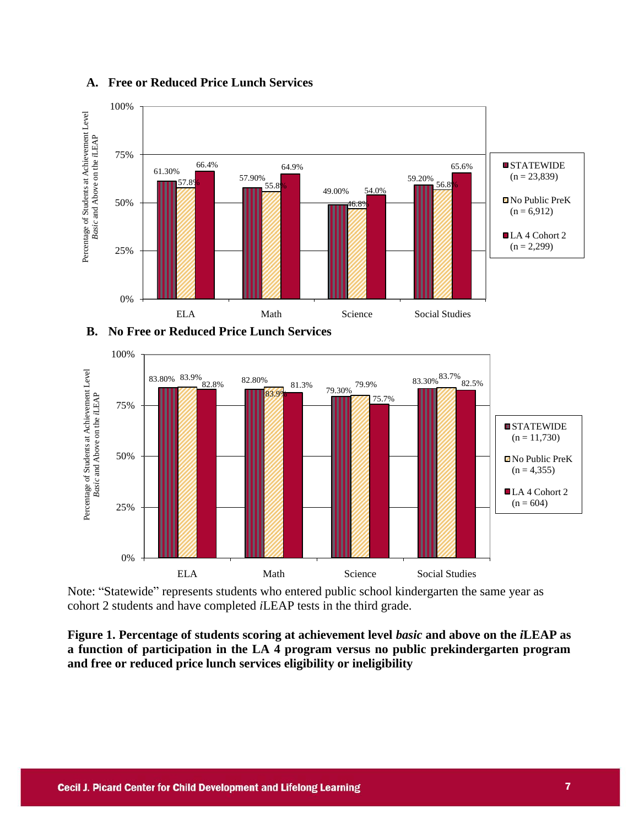

### **A. Free or Reduced Price Lunch Services**





Note: "Statewide" represents students who entered public school kindergarten the same year as cohort 2 students and have completed *i*LEAP tests in the third grade.

**Figure 1. Percentage of students scoring at achievement level** *basic* **and above on the** *i***LEAP as a function of participation in the LA 4 program versus no public prekindergarten program and free or reduced price lunch services eligibility or ineligibility**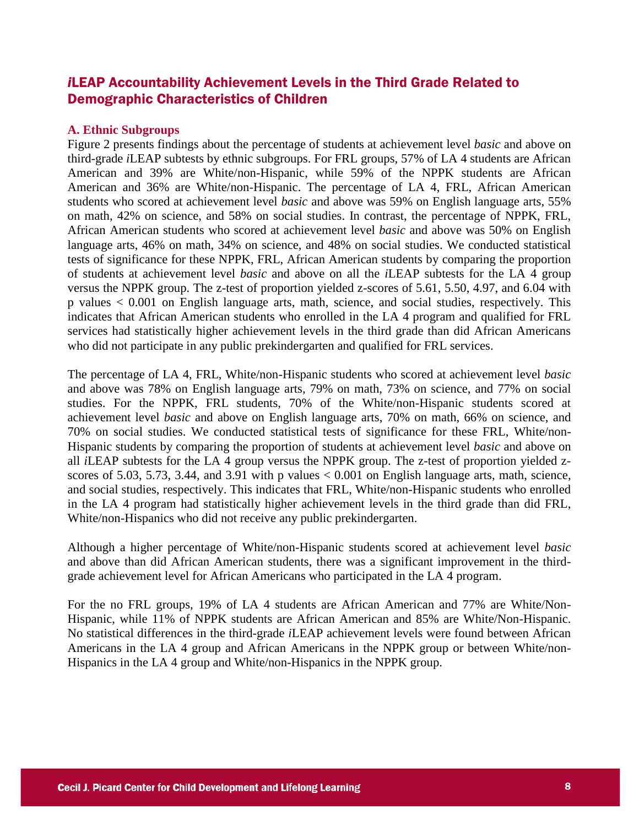### *i*LEAP Accountability Achievement Levels in the Third Grade Related to Demographic Characteristics of Children

### **A. Ethnic Subgroups**

Figure 2 presents findings about the percentage of students at achievement level *basic* and above on third-grade *i*LEAP subtests by ethnic subgroups. For FRL groups, 57% of LA 4 students are African American and 39% are White/non-Hispanic, while 59% of the NPPK students are African American and 36% are White/non-Hispanic. The percentage of LA 4, FRL, African American students who scored at achievement level *basic* and above was 59% on English language arts, 55% on math, 42% on science, and 58% on social studies. In contrast, the percentage of NPPK, FRL, African American students who scored at achievement level *basic* and above was 50% on English language arts, 46% on math, 34% on science, and 48% on social studies. We conducted statistical tests of significance for these NPPK, FRL, African American students by comparing the proportion of students at achievement level *basic* and above on all the *i*LEAP subtests for the LA 4 group versus the NPPK group. The z-test of proportion yielded z-scores of 5.61, 5.50, 4.97, and 6.04 with p values < 0.001 on English language arts, math, science, and social studies, respectively. This indicates that African American students who enrolled in the LA 4 program and qualified for FRL services had statistically higher achievement levels in the third grade than did African Americans who did not participate in any public prekindergarten and qualified for FRL services.

The percentage of LA 4, FRL, White/non-Hispanic students who scored at achievement level *basic*  and above was 78% on English language arts, 79% on math, 73% on science, and 77% on social studies. For the NPPK, FRL students, 70% of the White/non-Hispanic students scored at achievement level *basic* and above on English language arts, 70% on math, 66% on science, and 70% on social studies. We conducted statistical tests of significance for these FRL, White/non-Hispanic students by comparing the proportion of students at achievement level *basic* and above on all *i*LEAP subtests for the LA 4 group versus the NPPK group. The z-test of proportion yielded zscores of 5.03, 5.73, 3.44, and 3.91 with p values  $< 0.001$  on English language arts, math, science, and social studies, respectively. This indicates that FRL, White/non-Hispanic students who enrolled in the LA 4 program had statistically higher achievement levels in the third grade than did FRL, White/non-Hispanics who did not receive any public prekindergarten.

Although a higher percentage of White/non-Hispanic students scored at achievement level *basic* and above than did African American students, there was a significant improvement in the thirdgrade achievement level for African Americans who participated in the LA 4 program.

For the no FRL groups, 19% of LA 4 students are African American and 77% are White/Non-Hispanic, while 11% of NPPK students are African American and 85% are White/Non-Hispanic. No statistical differences in the third-grade *i*LEAP achievement levels were found between African Americans in the LA 4 group and African Americans in the NPPK group or between White/non-Hispanics in the LA 4 group and White/non-Hispanics in the NPPK group.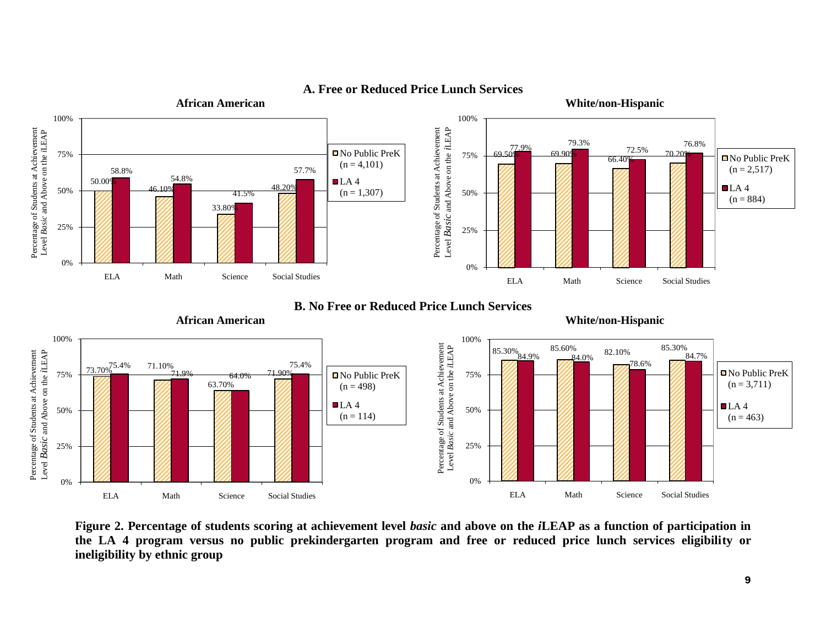

### **A. Free or Reduced Price Lunch Services**

**B. No Free or Reduced Price Lunch Services**

**African American White/non-Hispanic** 



**Figure 2. Percentage of students scoring at achievement level** *basic* **and above on the** *i***LEAP as a function of participation in the LA 4 program versus no public prekindergarten program and free or reduced price lunch services eligibility or ineligibility by ethnic group**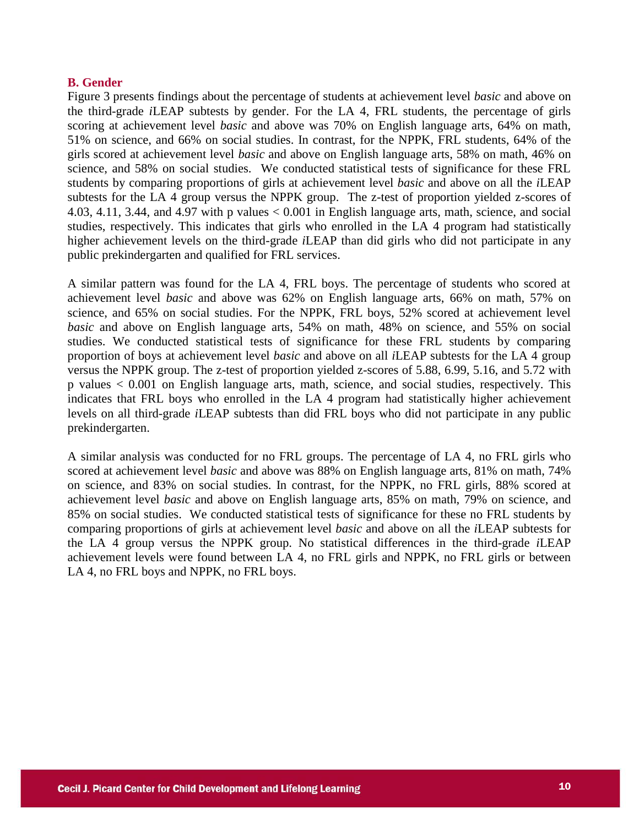### **B. Gender**

Figure 3 presents findings about the percentage of students at achievement level *basic* and above on the third-grade *i*LEAP subtests by gender. For the LA 4, FRL students, the percentage of girls scoring at achievement level *basic* and above was 70% on English language arts, 64% on math, 51% on science, and 66% on social studies. In contrast, for the NPPK, FRL students, 64% of the girls scored at achievement level *basic* and above on English language arts, 58% on math, 46% on science, and 58% on social studies. We conducted statistical tests of significance for these FRL students by comparing proportions of girls at achievement level *basic* and above on all the *i*LEAP subtests for the LA 4 group versus the NPPK group. The z-test of proportion yielded z-scores of 4.03, 4.11, 3.44, and 4.97 with p values < 0.001 in English language arts, math, science, and social studies, respectively. This indicates that girls who enrolled in the LA 4 program had statistically higher achievement levels on the third-grade *i*LEAP than did girls who did not participate in any public prekindergarten and qualified for FRL services.

A similar pattern was found for the LA 4, FRL boys. The percentage of students who scored at achievement level *basic* and above was 62% on English language arts, 66% on math, 57% on science, and 65% on social studies. For the NPPK, FRL boys, 52% scored at achievement level *basic* and above on English language arts, 54% on math, 48% on science, and 55% on social studies. We conducted statistical tests of significance for these FRL students by comparing proportion of boys at achievement level *basic* and above on all *i*LEAP subtests for the LA 4 group versus the NPPK group. The z-test of proportion yielded z-scores of 5.88, 6.99, 5.16, and 5.72 with p values < 0.001 on English language arts, math, science, and social studies, respectively. This indicates that FRL boys who enrolled in the LA 4 program had statistically higher achievement levels on all third-grade *i*LEAP subtests than did FRL boys who did not participate in any public prekindergarten.

A similar analysis was conducted for no FRL groups. The percentage of LA 4, no FRL girls who scored at achievement level *basic* and above was 88% on English language arts, 81% on math, 74% on science, and 83% on social studies. In contrast, for the NPPK, no FRL girls, 88% scored at achievement level *basic* and above on English language arts, 85% on math, 79% on science, and 85% on social studies. We conducted statistical tests of significance for these no FRL students by comparing proportions of girls at achievement level *basic* and above on all the *i*LEAP subtests for the LA 4 group versus the NPPK group. No statistical differences in the third-grade *i*LEAP achievement levels were found between LA 4, no FRL girls and NPPK, no FRL girls or between LA 4, no FRL boys and NPPK, no FRL boys.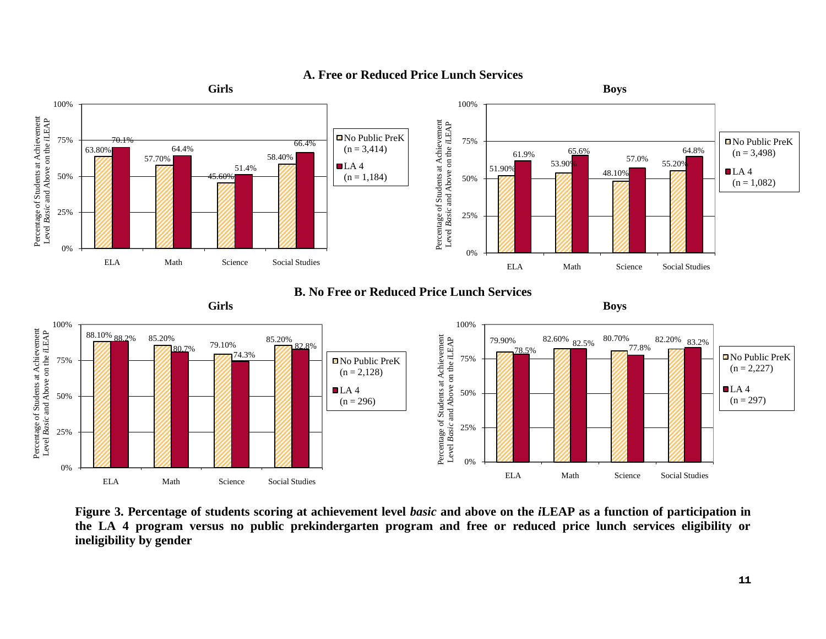

### **A. Free or Reduced Price Lunch Services**

**Figure 3. Percentage of students scoring at achievement level** *basic* **and above on the** *i***LEAP as a function of participation in the LA 4 program versus no public prekindergarten program and free or reduced price lunch services eligibility or ineligibility by gender**

ELA Math Science Social Studies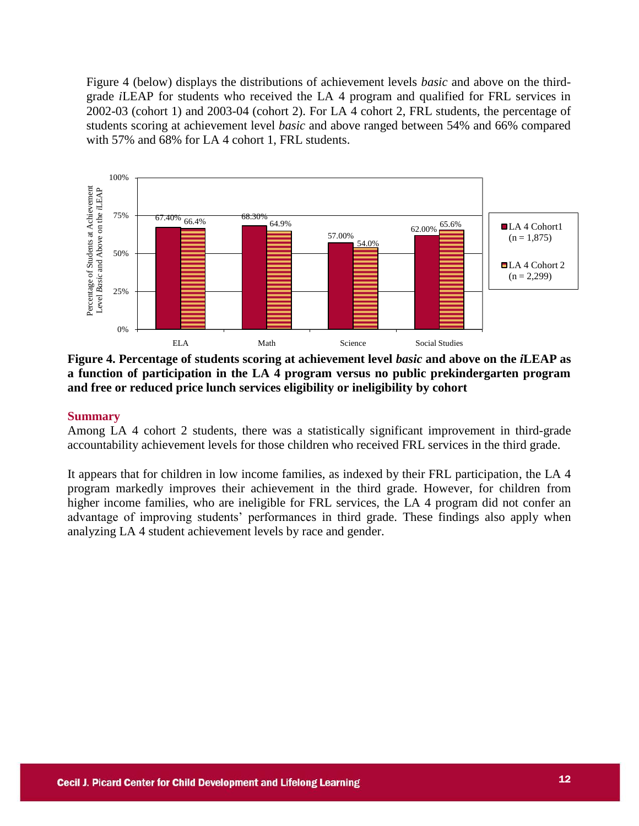Figure 4 (below) displays the distributions of achievement levels *basic* and above on the thirdgrade *i*LEAP for students who received the LA 4 program and qualified for FRL services in 2002-03 (cohort 1) and 2003-04 (cohort 2). For LA 4 cohort 2, FRL students, the percentage of students scoring at achievement level *basic* and above ranged between 54% and 66% compared with 57% and 68% for LA 4 cohort 1, FRL students.



**Figure 4. Percentage of students scoring at achievement level** *basic* **and above on the** *i***LEAP as a function of participation in the LA 4 program versus no public prekindergarten program and free or reduced price lunch services eligibility or ineligibility by cohort**

### **Summary**

Among LA 4 cohort 2 students, there was a statistically significant improvement in third-grade accountability achievement levels for those children who received FRL services in the third grade.

It appears that for children in low income families, as indexed by their FRL participation, the LA 4 program markedly improves their achievement in the third grade. However, for children from higher income families, who are ineligible for FRL services, the LA 4 program did not confer an advantage of improving students' performances in third grade. These findings also apply when analyzing LA 4 student achievement levels by race and gender.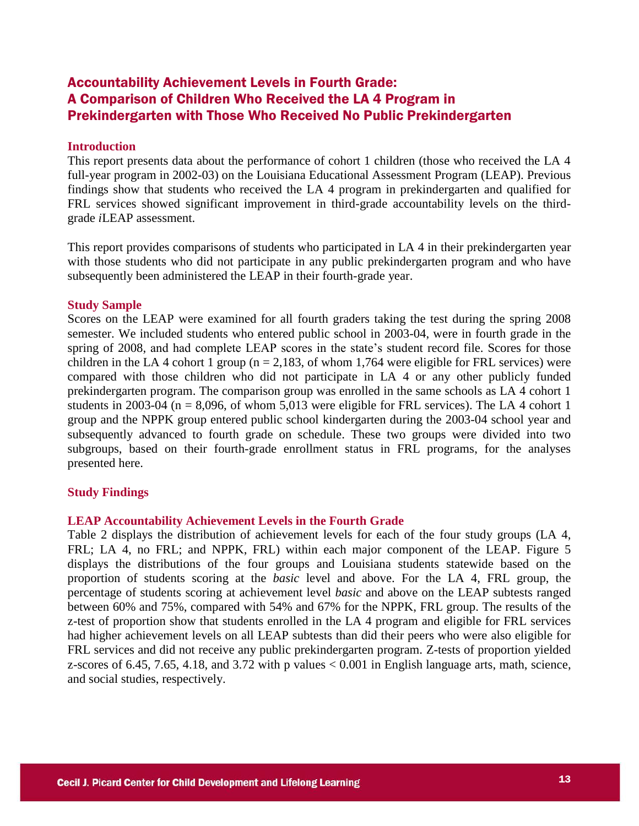### Accountability Achievement Levels in Fourth Grade: A Comparison of Children Who Received the LA 4 Program in Prekindergarten with Those Who Received No Public Prekindergarten

### **Introduction**

This report presents data about the performance of cohort 1 children (those who received the LA 4 full-year program in 2002-03) on the Louisiana Educational Assessment Program (LEAP). Previous findings show that students who received the LA 4 program in prekindergarten and qualified for FRL services showed significant improvement in third-grade accountability levels on the thirdgrade *i*LEAP assessment.

This report provides comparisons of students who participated in LA 4 in their prekindergarten year with those students who did not participate in any public prekindergarten program and who have subsequently been administered the LEAP in their fourth-grade year.

#### **Study Sample**

Scores on the LEAP were examined for all fourth graders taking the test during the spring 2008 semester. We included students who entered public school in 2003-04, were in fourth grade in the spring of 2008, and had complete LEAP scores in the state's student record file. Scores for those children in the LA 4 cohort 1 group ( $n = 2.183$ , of whom 1,764 were eligible for FRL services) were compared with those children who did not participate in LA 4 or any other publicly funded prekindergarten program. The comparison group was enrolled in the same schools as LA 4 cohort 1 students in 2003-04 ( $n = 8,096$ , of whom 5,013 were eligible for FRL services). The LA 4 cohort 1 group and the NPPK group entered public school kindergarten during the 2003-04 school year and subsequently advanced to fourth grade on schedule. These two groups were divided into two subgroups, based on their fourth-grade enrollment status in FRL programs, for the analyses presented here.

#### **Study Findings**

#### **LEAP Accountability Achievement Levels in the Fourth Grade**

Table 2 displays the distribution of achievement levels for each of the four study groups (LA 4, FRL; LA 4, no FRL; and NPPK, FRL) within each major component of the LEAP. Figure 5 displays the distributions of the four groups and Louisiana students statewide based on the proportion of students scoring at the *basic* level and above. For the LA 4, FRL group, the percentage of students scoring at achievement level *basic* and above on the LEAP subtests ranged between 60% and 75%, compared with 54% and 67% for the NPPK, FRL group. The results of the z-test of proportion show that students enrolled in the LA 4 program and eligible for FRL services had higher achievement levels on all LEAP subtests than did their peers who were also eligible for FRL services and did not receive any public prekindergarten program. Z-tests of proportion yielded z-scores of 6.45, 7.65, 4.18, and 3.72 with p values < 0.001 in English language arts, math, science, and social studies, respectively.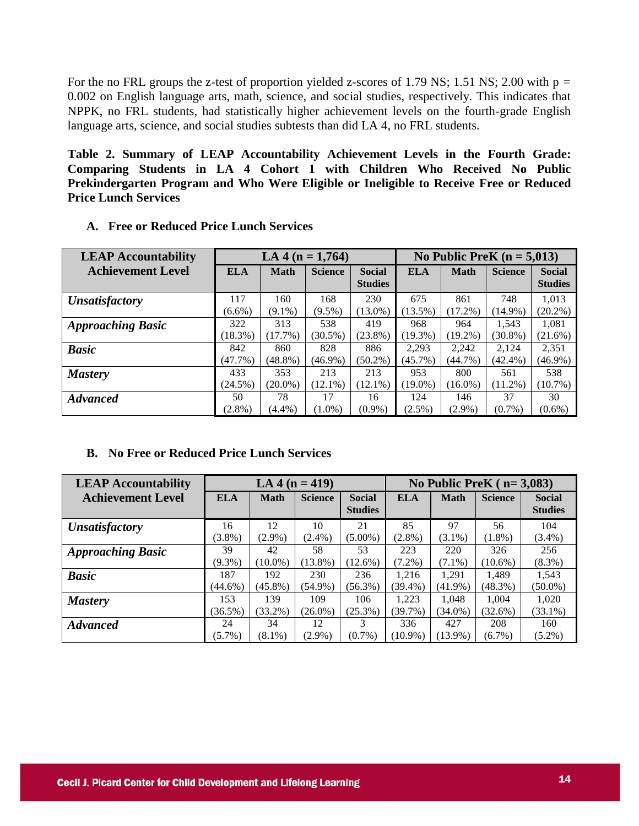For the no FRL groups the z-test of proportion yielded z-scores of 1.79 NS; 1.51 NS; 2.00 with  $p =$ 0.002 on English language arts, math, science, and social studies, respectively. This indicates that NPPK, no FRL students, had statistically higher achievement levels on the fourth-grade English language arts, science, and social studies subtests than did LA 4, no FRL students.

**Table 2. Summary of LEAP Accountability Achievement Levels in the Fourth Grade: Comparing Students in LA 4 Cohort 1 with Children Who Received No Public Prekindergarten Program and Who Were Eligible or Ineligible to Receive Free or Reduced Price Lunch Services** 

| <b>LEAP Accountability</b> |            | LA 4 ( $n = 1,764$ ) |                |                | No Public PreK $(n = 5,013)$ |             |                |                |  |
|----------------------------|------------|----------------------|----------------|----------------|------------------------------|-------------|----------------|----------------|--|
| <b>Achievement Level</b>   | <b>ELA</b> | <b>Math</b>          | <b>Science</b> | <b>Social</b>  | <b>ELA</b>                   | <b>Math</b> | <b>Science</b> | <b>Social</b>  |  |
|                            |            |                      |                | <b>Studies</b> |                              |             |                | <b>Studies</b> |  |
| <b>Unsatisfactory</b>      | 117        | 160                  | 168            | 230            | 675                          | 861         | 748            | 1,013          |  |
|                            | $(6.6\%)$  | $(9.1\%)$            | $(9.5\%)$      | $(13.0\%)$     | $(13.5\%)$                   | $(17.2\%)$  | $(14.9\%)$     | $(20.2\%)$     |  |
| <b>Approaching Basic</b>   | 322        | 313                  | 538            | 419            | 968                          | 964         | 1.543          | 1,081          |  |
|                            | (18.3%)    | $(17.7\%)$           | $(30.5\%)$     | $(23.8\%)$     | $(19.3\%)$                   | $(19.2\%)$  | $(30.8\%)$     | $(21.6\%)$     |  |
| <b>Basic</b>               | 842        | 860                  | 828            | 886            | 2,293                        | 2,242       | 2,124          | 2,351          |  |
|                            | $(47.7\%)$ | $(48.8\%)$           | $(46.9\%)$     | $(50.2\%)$     | $(45.7\%)$                   | $(44.7\%)$  | $(42.4\%)$     | $(46.9\%)$     |  |
| <b>Mastery</b>             | 433        | 353                  | 213            | 213            | 953                          | 800         | 561            | 538            |  |
|                            | (24.5%)    | $(20.0\%)$           | $(12.1\%)$     | $(12.1\%)$     | $(19.0\%)$                   | $(16.0\%)$  | $(11.2\%)$     | $(10.7\%)$     |  |
| <b>Advanced</b>            | 50         | 78                   | 17             | 16             | 124                          | 146         | 37             | 30             |  |
|                            | $(2.8\%)$  | $(4.4\%)$            | $(1.0\%)$      | $(0.9\%)$      | $(2.5\%)$                    | $(2.9\%)$   | $(0.7\%)$      | $(0.6\%)$      |  |

**A. Free or Reduced Price Lunch Services** 

### **B. No Free or Reduced Price Lunch Services**

| <b>LEAP Accountability</b> |            | LA 4 ( $n = 419$ ) |                |                                 |            |             | No Public PreK $(n=3,083)$ |                                 |
|----------------------------|------------|--------------------|----------------|---------------------------------|------------|-------------|----------------------------|---------------------------------|
| <b>Achievement Level</b>   | <b>ELA</b> | <b>Math</b>        | <b>Science</b> | <b>Social</b><br><b>Studies</b> | <b>ELA</b> | <b>Math</b> | <b>Science</b>             | <b>Social</b><br><b>Studies</b> |
| <b>Unsatisfactory</b>      | 16         | 12                 | 10             | 21                              | 85         | 97          | 56                         | 104                             |
|                            | $(3.8\%)$  | $(2.9\%)$          | $(2.4\%)$      | $(5.00\%)$                      | $(2.8\%)$  | $(3.1\%)$   | $(1.8\%)$                  | $(3.4\%)$                       |
| <b>Approaching Basic</b>   | 39         | 42                 | 58             | 53                              | 223        | 220         | 326                        | 256                             |
|                            | $(9.3\%)$  | $(10.0\%)$         | $(13.8\%)$     | $(12.6\%)$                      | $(7.2\%)$  | $(7.1\%)$   | $(10.6\%)$                 | $(8.3\%)$                       |
| <b>Basic</b>               | 187        | 192                | 230            | 236                             | 1.216      | 1.291       | 1.489                      | 1.543                           |
|                            | $(44.6\%)$ | $(45.8\%)$         | (54.9%)        | $(56.3\%)$                      | $(39.4\%)$ | $(41.9\%)$  | $(48.3\%)$                 | $(50.0\%)$                      |
| <b>Mastery</b>             | 153        | 139                | 109            | 106                             | 1.223      | 1.048       | 1.004                      | 1.020                           |
|                            | $(36.5\%)$ | $(33.2\%)$         | $(26.0\%)$     | $(25.3\%)$                      | (39.7%)    | $(34.0\%)$  | (32.6%)                    | $(33.1\%)$                      |
| <b>Advanced</b>            | 24         | 34                 | 12             | 3                               | 336        | 427         | 208                        | 160                             |
|                            | $(5.7\%)$  | $(8.1\%)$          | $(2.9\%)$      | $(0.7\%)$                       | $(10.9\%)$ | $(13.9\%)$  | $(6.7\%)$                  | $(5.2\%)$                       |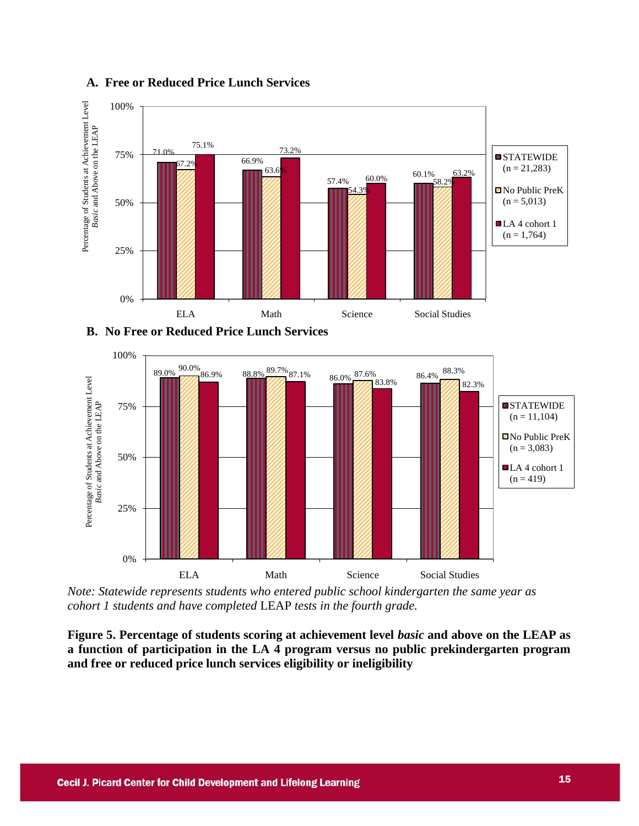

### **A. Free or Reduced Price Lunch Services**

**B. No Free or Reduced Price Lunch Services** 



*Note: Statewide represents students who entered public school kindergarten the same year as cohort 1 students and have completed* LEAP *tests in the fourth grade.*

**Figure 5. Percentage of students scoring at achievement level** *basic* **and above on the LEAP as a function of participation in the LA 4 program versus no public prekindergarten program and free or reduced price lunch services eligibility or ineligibility**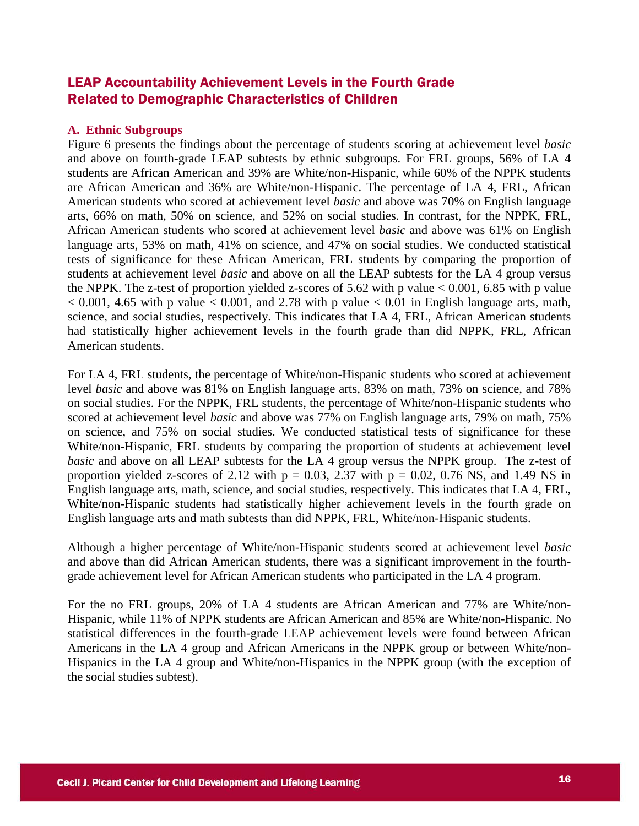### LEAP Accountability Achievement Levels in the Fourth Grade Related to Demographic Characteristics of Children

### **A. Ethnic Subgroups**

Figure 6 presents the findings about the percentage of students scoring at achievement level *basic* and above on fourth-grade LEAP subtests by ethnic subgroups. For FRL groups, 56% of LA 4 students are African American and 39% are White/non-Hispanic, while 60% of the NPPK students are African American and 36% are White/non-Hispanic. The percentage of LA 4, FRL, African American students who scored at achievement level *basic* and above was 70% on English language arts, 66% on math, 50% on science, and 52% on social studies. In contrast, for the NPPK, FRL, African American students who scored at achievement level *basic* and above was 61% on English language arts, 53% on math, 41% on science, and 47% on social studies. We conducted statistical tests of significance for these African American, FRL students by comparing the proportion of students at achievement level *basic* and above on all the LEAP subtests for the LA 4 group versus the NPPK. The z-test of proportion yielded z-scores of 5.62 with p value  $< 0.001, 6.85$  with p value  $< 0.001$ , 4.65 with p value  $< 0.001$ , and 2.78 with p value  $< 0.01$  in English language arts, math, science, and social studies, respectively. This indicates that LA 4, FRL, African American students had statistically higher achievement levels in the fourth grade than did NPPK, FRL, African American students.

For LA 4, FRL students, the percentage of White/non-Hispanic students who scored at achievement level *basic* and above was 81% on English language arts, 83% on math, 73% on science, and 78% on social studies. For the NPPK, FRL students, the percentage of White/non-Hispanic students who scored at achievement level *basic* and above was 77% on English language arts, 79% on math, 75% on science, and 75% on social studies. We conducted statistical tests of significance for these White/non-Hispanic, FRL students by comparing the proportion of students at achievement level *basic* and above on all LEAP subtests for the LA 4 group versus the NPPK group. The z-test of proportion yielded z-scores of 2.12 with  $p = 0.03, 2.37$  with  $p = 0.02, 0.76$  NS, and 1.49 NS in English language arts, math, science, and social studies, respectively. This indicates that LA 4, FRL, White/non-Hispanic students had statistically higher achievement levels in the fourth grade on English language arts and math subtests than did NPPK, FRL, White/non-Hispanic students.

Although a higher percentage of White/non-Hispanic students scored at achievement level *basic* and above than did African American students, there was a significant improvement in the fourthgrade achievement level for African American students who participated in the LA 4 program.

For the no FRL groups, 20% of LA 4 students are African American and 77% are White/non-Hispanic, while 11% of NPPK students are African American and 85% are White/non-Hispanic. No statistical differences in the fourth-grade LEAP achievement levels were found between African Americans in the LA 4 group and African Americans in the NPPK group or between White/non-Hispanics in the LA 4 group and White/non-Hispanics in the NPPK group (with the exception of the social studies subtest).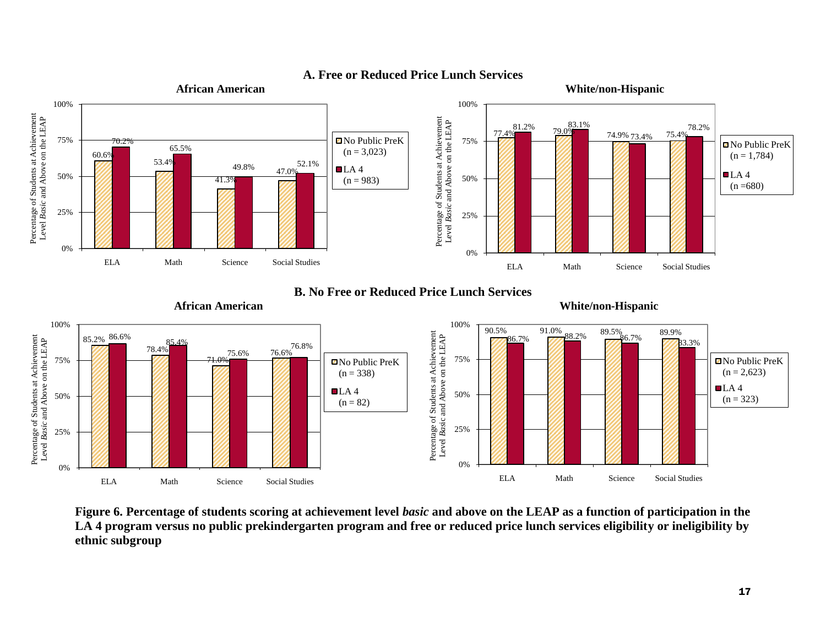

### **A. Free or Reduced Price Lunch Services**

**Figure 6. Percentage of students scoring at achievement level** *basic* **and above on the LEAP as a function of participation in the LA 4 program versus no public prekindergarten program and free or reduced price lunch services eligibility or ineligibility by ethnic subgroup**

0%

ELA Math Science Social Studies

0%

ELA Math Science Social Studies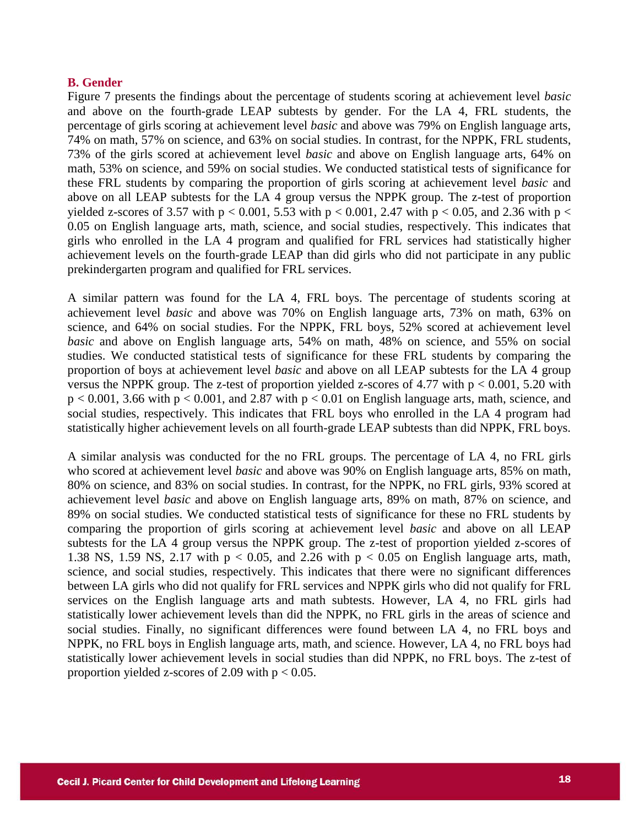### **B. Gender**

Figure 7 presents the findings about the percentage of students scoring at achievement level *basic* and above on the fourth-grade LEAP subtests by gender. For the LA 4, FRL students, the percentage of girls scoring at achievement level *basic* and above was 79% on English language arts, 74% on math, 57% on science, and 63% on social studies. In contrast, for the NPPK, FRL students, 73% of the girls scored at achievement level *basic* and above on English language arts, 64% on math, 53% on science, and 59% on social studies. We conducted statistical tests of significance for these FRL students by comparing the proportion of girls scoring at achievement level *basic* and above on all LEAP subtests for the LA 4 group versus the NPPK group. The z-test of proportion yielded z-scores of 3.57 with  $p < 0.001$ , 5.53 with  $p < 0.001$ , 2.47 with  $p < 0.05$ , and 2.36 with  $p <$ 0.05 on English language arts, math, science, and social studies, respectively. This indicates that girls who enrolled in the LA 4 program and qualified for FRL services had statistically higher achievement levels on the fourth-grade LEAP than did girls who did not participate in any public prekindergarten program and qualified for FRL services.

A similar pattern was found for the LA 4, FRL boys. The percentage of students scoring at achievement level *basic* and above was 70% on English language arts, 73% on math, 63% on science, and 64% on social studies. For the NPPK, FRL boys, 52% scored at achievement level *basic* and above on English language arts, 54% on math, 48% on science, and 55% on social studies. We conducted statistical tests of significance for these FRL students by comparing the proportion of boys at achievement level *basic* and above on all LEAP subtests for the LA 4 group versus the NPPK group. The z-test of proportion yielded z-scores of 4.77 with  $p < 0.001$ , 5.20 with  $p < 0.001$ , 3.66 with  $p < 0.001$ , and 2.87 with  $p < 0.01$  on English language arts, math, science, and social studies, respectively. This indicates that FRL boys who enrolled in the LA 4 program had statistically higher achievement levels on all fourth-grade LEAP subtests than did NPPK, FRL boys.

A similar analysis was conducted for the no FRL groups. The percentage of LA 4, no FRL girls who scored at achievement level *basic* and above was 90% on English language arts, 85% on math, 80% on science, and 83% on social studies. In contrast, for the NPPK, no FRL girls, 93% scored at achievement level *basic* and above on English language arts, 89% on math, 87% on science, and 89% on social studies. We conducted statistical tests of significance for these no FRL students by comparing the proportion of girls scoring at achievement level *basic* and above on all LEAP subtests for the LA 4 group versus the NPPK group. The z-test of proportion yielded z-scores of 1.38 NS, 1.59 NS, 2.17 with  $p < 0.05$ , and 2.26 with  $p < 0.05$  on English language arts, math, science, and social studies, respectively. This indicates that there were no significant differences between LA girls who did not qualify for FRL services and NPPK girls who did not qualify for FRL services on the English language arts and math subtests. However, LA 4, no FRL girls had statistically lower achievement levels than did the NPPK, no FRL girls in the areas of science and social studies. Finally, no significant differences were found between LA 4, no FRL boys and NPPK, no FRL boys in English language arts, math, and science. However, LA 4, no FRL boys had statistically lower achievement levels in social studies than did NPPK, no FRL boys. The z-test of proportion yielded z-scores of 2.09 with  $p < 0.05$ .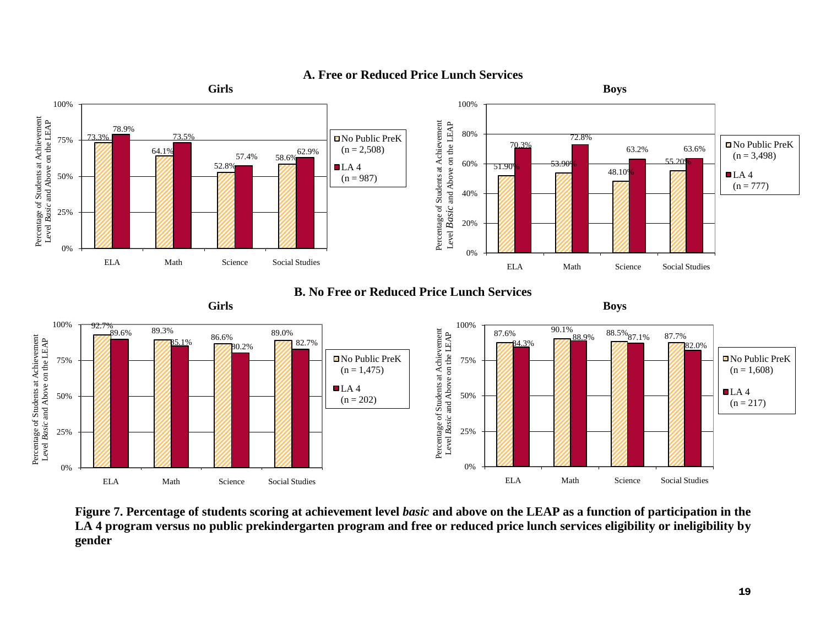

### **A. Free or Reduced Price Lunch Services**

**Figure 7. Percentage of students scoring at achievement level** *basic* **and above on the LEAP as a function of participation in the LA 4 program versus no public prekindergarten program and free or reduced price lunch services eligibility or ineligibility by gender**

ELA Math Science Social Studies

ELA Math Science Social Studies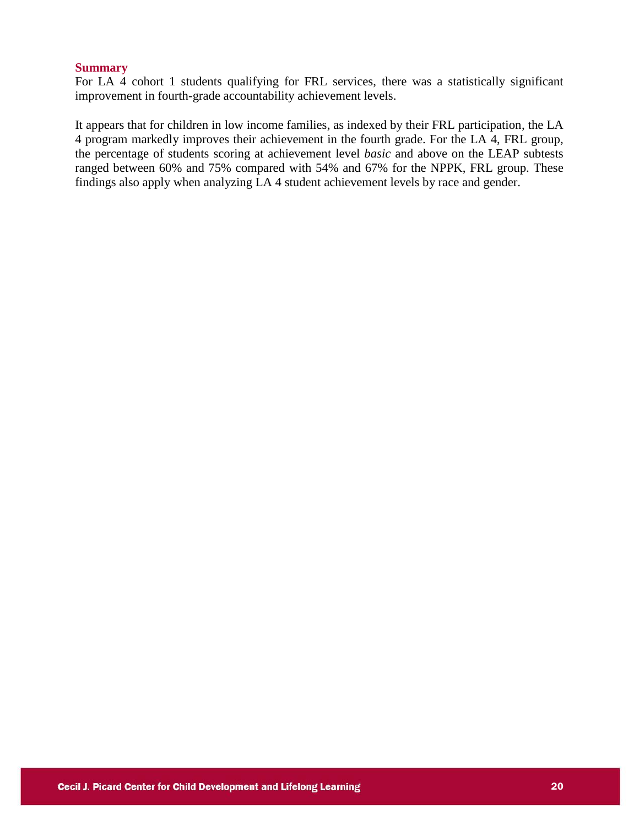#### **Summary**

For LA 4 cohort 1 students qualifying for FRL services, there was a statistically significant improvement in fourth-grade accountability achievement levels.

It appears that for children in low income families, as indexed by their FRL participation, the LA 4 program markedly improves their achievement in the fourth grade. For the LA 4, FRL group, the percentage of students scoring at achievement level *basic* and above on the LEAP subtests ranged between 60% and 75% compared with 54% and 67% for the NPPK, FRL group. These findings also apply when analyzing LA 4 student achievement levels by race and gender.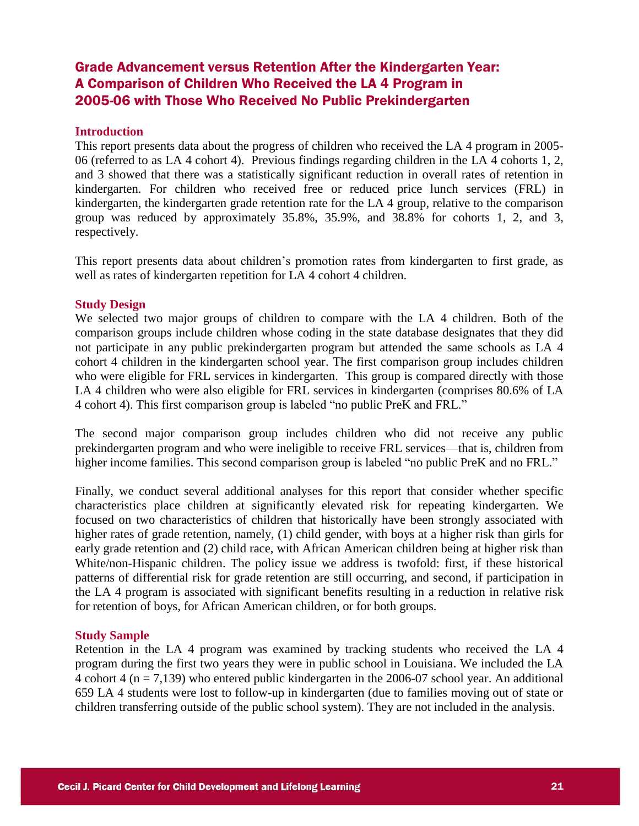### Grade Advancement versus Retention After the Kindergarten Year: A Comparison of Children Who Received the LA 4 Program in 2005-06 with Those Who Received No Public Prekindergarten

### **Introduction**

This report presents data about the progress of children who received the LA 4 program in 2005- 06 (referred to as LA 4 cohort 4). Previous findings regarding children in the LA 4 cohorts 1, 2, and 3 showed that there was a statistically significant reduction in overall rates of retention in kindergarten. For children who received free or reduced price lunch services (FRL) in kindergarten, the kindergarten grade retention rate for the LA 4 group, relative to the comparison group was reduced by approximately 35.8%, 35.9%, and 38.8% for cohorts 1, 2, and 3, respectively.

This report presents data about children's promotion rates from kindergarten to first grade, as well as rates of kindergarten repetition for LA 4 cohort 4 children.

#### **Study Design**

We selected two major groups of children to compare with the LA 4 children. Both of the comparison groups include children whose coding in the state database designates that they did not participate in any public prekindergarten program but attended the same schools as LA 4 cohort 4 children in the kindergarten school year. The first comparison group includes children who were eligible for FRL services in kindergarten. This group is compared directly with those LA 4 children who were also eligible for FRL services in kindergarten (comprises 80.6% of LA 4 cohort 4). This first comparison group is labeled "no public PreK and FRL."

The second major comparison group includes children who did not receive any public prekindergarten program and who were ineligible to receive FRL services—that is, children from higher income families. This second comparison group is labeled "no public PreK and no FRL."

Finally, we conduct several additional analyses for this report that consider whether specific characteristics place children at significantly elevated risk for repeating kindergarten. We focused on two characteristics of children that historically have been strongly associated with higher rates of grade retention, namely, (1) child gender, with boys at a higher risk than girls for early grade retention and (2) child race, with African American children being at higher risk than White/non-Hispanic children. The policy issue we address is twofold: first, if these historical patterns of differential risk for grade retention are still occurring, and second, if participation in the LA 4 program is associated with significant benefits resulting in a reduction in relative risk for retention of boys, for African American children, or for both groups.

### **Study Sample**

Retention in the LA 4 program was examined by tracking students who received the LA 4 program during the first two years they were in public school in Louisiana. We included the LA 4 cohort 4 ( $n = 7.139$ ) who entered public kindergarten in the 2006-07 school year. An additional 659 LA 4 students were lost to follow-up in kindergarten (due to families moving out of state or children transferring outside of the public school system). They are not included in the analysis.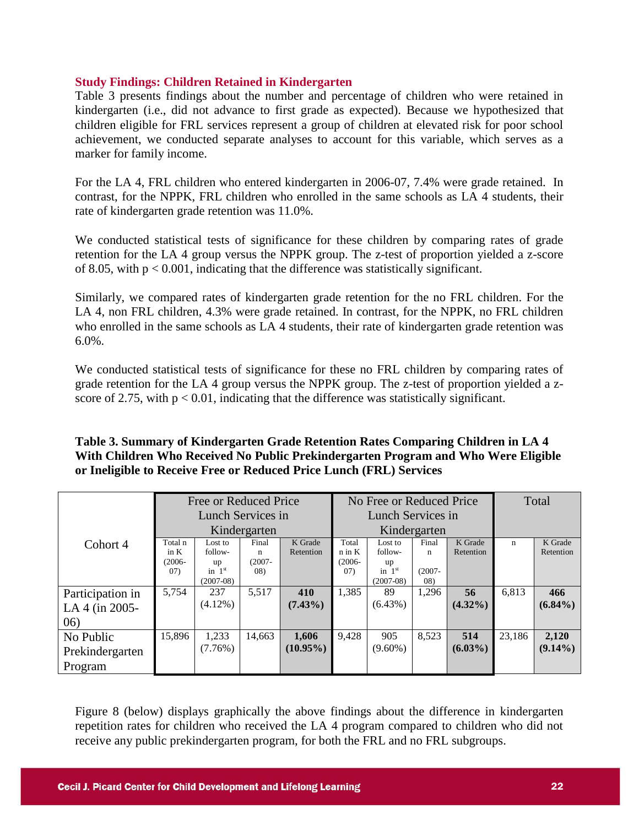### **Study Findings: Children Retained in Kindergarten**

Table 3 presents findings about the number and percentage of children who were retained in kindergarten (i.e., did not advance to first grade as expected). Because we hypothesized that children eligible for FRL services represent a group of children at elevated risk for poor school achievement, we conducted separate analyses to account for this variable, which serves as a marker for family income.

For the LA 4, FRL children who entered kindergarten in 2006-07, 7.4% were grade retained. In contrast, for the NPPK, FRL children who enrolled in the same schools as LA 4 students, their rate of kindergarten grade retention was 11.0%.

We conducted statistical tests of significance for these children by comparing rates of grade retention for the LA 4 group versus the NPPK group. The z-test of proportion yielded a z-score of 8.05, with  $p < 0.001$ , indicating that the difference was statistically significant.

Similarly, we compared rates of kindergarten grade retention for the no FRL children. For the LA 4, non FRL children, 4.3% were grade retained. In contrast, for the NPPK, no FRL children who enrolled in the same schools as LA 4 students, their rate of kindergarten grade retention was  $6.0\%$ .

We conducted statistical tests of significance for these no FRL children by comparing rates of grade retention for the LA 4 group versus the NPPK group. The z-test of proportion yielded a zscore of 2.75, with  $p < 0.01$ , indicating that the difference was statistically significant.

| Table 3. Summary of Kindergarten Grade Retention Rates Comparing Children in LA 4  |
|------------------------------------------------------------------------------------|
| With Children Who Received No Public Prekindergarten Program and Who Were Eligible |
| or Ineligible to Receive Free or Reduced Price Lunch (FRL) Services                |

|                  |                   | Free or Reduced Price |           |             |           | No Free or Reduced Price |           |            | Total  |            |  |
|------------------|-------------------|-----------------------|-----------|-------------|-----------|--------------------------|-----------|------------|--------|------------|--|
|                  | Lunch Services in |                       |           |             |           | Lunch Services in        |           |            |        |            |  |
|                  | Kindergarten      |                       |           |             |           | Kindergarten             |           |            |        |            |  |
| Cohort 4         | Total n           | Lost to               | Final     | K Grade     | Total     | Lost to                  | Final     | K Grade    | n      | K Grade    |  |
|                  | in $K$            | follow-               | n         | Retention   | n in K    | follow-                  | n         | Retention  |        | Retention  |  |
|                  | $(2006 -$         | up                    | $(2007 -$ |             | $(2006 -$ | up                       |           |            |        |            |  |
|                  | (07)              | in $1st$              | (08)      |             | (07)      | in $1st$                 | $(2007 -$ |            |        |            |  |
|                  |                   | $(2007-08)$           |           |             |           | $(2007-08)$              | (08)      |            |        |            |  |
| Participation in | 5,754             | 237                   | 5,517     | 410         | 1,385     | 89                       | 1,296     | 56         | 6,813  | 466        |  |
| LA 4 (in 2005-   |                   | $(4.12\%)$            |           | $(7.43\%)$  |           | $(6.43\%)$               |           | $(4.32\%)$ |        | $(6.84\%)$ |  |
| (06)             |                   |                       |           |             |           |                          |           |            |        |            |  |
| No Public        | 15,896            | 1,233                 | 14,663    | 1,606       | 9,428     | 905                      | 8,523     | 514        | 23,186 | 2,120      |  |
| Prekindergarten  |                   | $(7.76\%)$            |           | $(10.95\%)$ |           | $(9.60\%)$               |           | $(6.03\%)$ |        | $(9.14\%)$ |  |
| Program          |                   |                       |           |             |           |                          |           |            |        |            |  |

Figure 8 (below) displays graphically the above findings about the difference in kindergarten repetition rates for children who received the LA 4 program compared to children who did not receive any public prekindergarten program, for both the FRL and no FRL subgroups.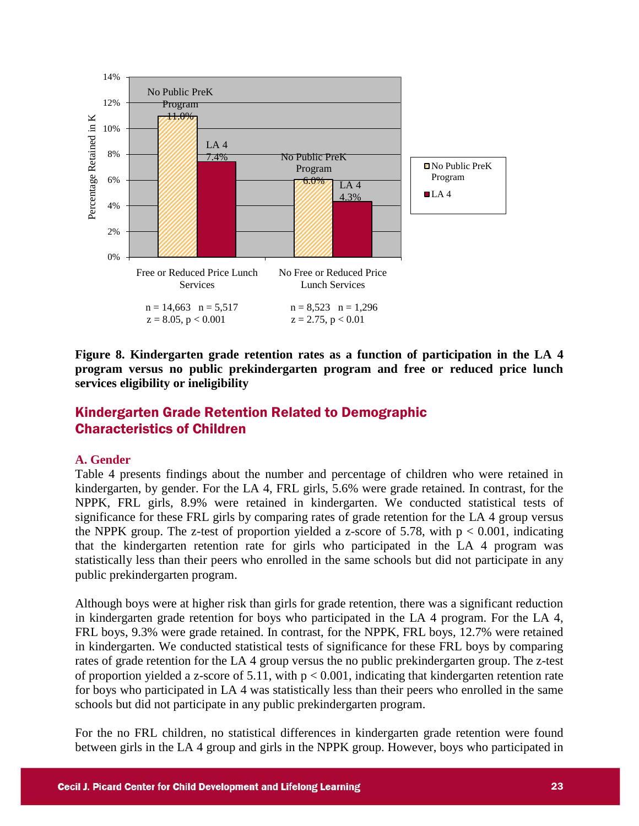

**Figure 8. Kindergarten grade retention rates as a function of participation in the LA 4 program versus no public prekindergarten program and free or reduced price lunch services eligibility or ineligibility** 

### Kindergarten Grade Retention Related to Demographic Characteristics of Children

### **A. Gender**

Table 4 presents findings about the number and percentage of children who were retained in kindergarten, by gender. For the LA 4, FRL girls, 5.6% were grade retained. In contrast, for the NPPK, FRL girls, 8.9% were retained in kindergarten. We conducted statistical tests of significance for these FRL girls by comparing rates of grade retention for the LA 4 group versus the NPPK group. The z-test of proportion yielded a z-score of 5.78, with  $p < 0.001$ , indicating that the kindergarten retention rate for girls who participated in the LA 4 program was statistically less than their peers who enrolled in the same schools but did not participate in any public prekindergarten program.

Although boys were at higher risk than girls for grade retention, there was a significant reduction in kindergarten grade retention for boys who participated in the LA 4 program. For the LA 4, FRL boys, 9.3% were grade retained. In contrast, for the NPPK, FRL boys, 12.7% were retained in kindergarten. We conducted statistical tests of significance for these FRL boys by comparing rates of grade retention for the LA 4 group versus the no public prekindergarten group. The z-test of proportion yielded a z-score of 5.11, with  $p < 0.001$ , indicating that kindergarten retention rate for boys who participated in LA 4 was statistically less than their peers who enrolled in the same schools but did not participate in any public prekindergarten program.

For the no FRL children, no statistical differences in kindergarten grade retention were found between girls in the LA 4 group and girls in the NPPK group. However, boys who participated in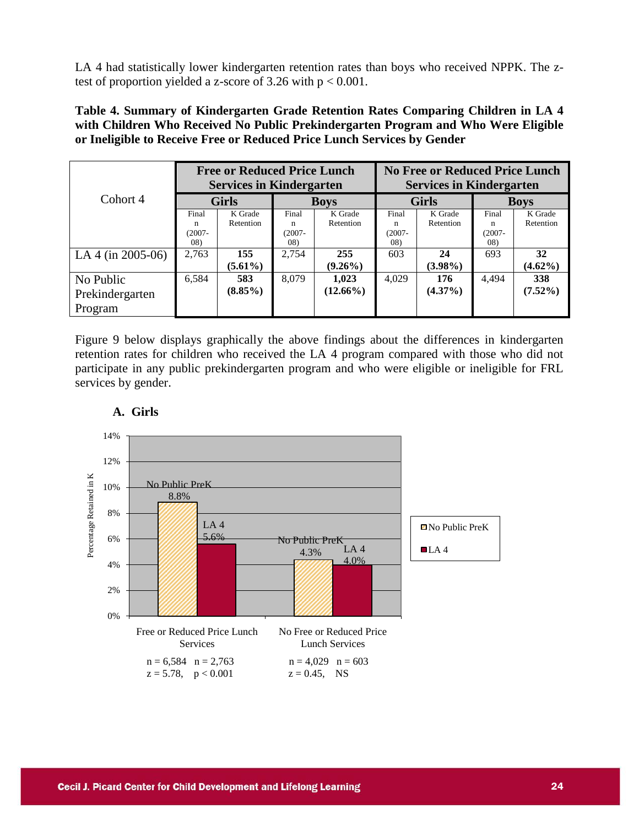LA 4 had statistically lower kindergarten retention rates than boys who received NPPK. The ztest of proportion yielded a z-score of 3.26 with  $p < 0.001$ .

**Table 4. Summary of Kindergarten Grade Retention Rates Comparing Children in LA 4 with Children Who Received No Public Prekindergarten Program and Who Were Eligible or Ineligible to Receive Free or Reduced Price Lunch Services by Gender**

|                   |              | <b>Free or Reduced Price Lunch</b><br><b>Services in Kindergarten</b> |           |             | <b>No Free or Reduced Price Lunch</b><br><b>Services in Kindergarten</b> |              |             |            |  |
|-------------------|--------------|-----------------------------------------------------------------------|-----------|-------------|--------------------------------------------------------------------------|--------------|-------------|------------|--|
| Cohort 4          | <b>Girls</b> |                                                                       |           | <b>Boys</b> |                                                                          | <b>Girls</b> | <b>Boys</b> |            |  |
|                   | Final        | K Grade                                                               | Final     | K Grade     | Final                                                                    | K Grade      | Final       | K Grade    |  |
|                   | n            | Retention                                                             | n         | Retention   | n                                                                        | Retention    | n           | Retention  |  |
|                   | $(2007 -$    |                                                                       | $(2007 -$ |             | $(2007 -$                                                                |              | $(2007 -$   |            |  |
|                   | (08)         |                                                                       | 08)       |             | 08)                                                                      |              | (08)        |            |  |
| LA 4 (in 2005-06) | 2,763        | 155                                                                   | 2,754     | 255         | 603                                                                      | 24           | 693         | 32         |  |
|                   |              | $(5.61\%)$                                                            |           | $(9.26\%)$  |                                                                          | $(3.98\%)$   |             | $(4.62\%)$ |  |
| No Public         | 6,584        | 583                                                                   | 8,079     | 1,023       | 4,029                                                                    | 176          | 4.494       | 338        |  |
| Prekindergarten   |              | $(8.85\%)$                                                            |           | $(12.66\%)$ |                                                                          | $(4.37\%)$   |             | $(7.52\%)$ |  |
| Program           |              |                                                                       |           |             |                                                                          |              |             |            |  |

Figure 9 below displays graphically the above findings about the differences in kindergarten retention rates for children who received the LA 4 program compared with those who did not participate in any public prekindergarten program and who were eligible or ineligible for FRL services by gender.



### **A. Girls**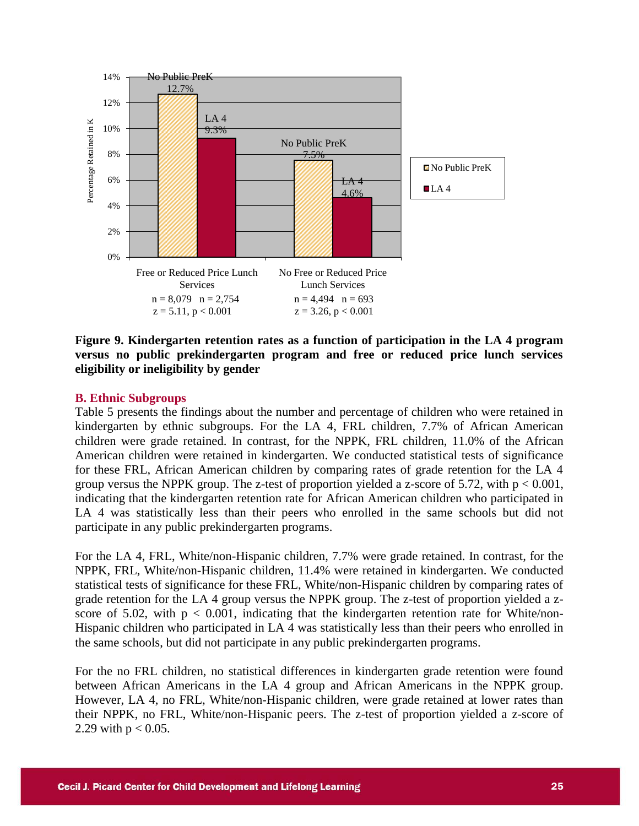

**Figure 9. Kindergarten retention rates as a function of participation in the LA 4 program versus no public prekindergarten program and free or reduced price lunch services eligibility or ineligibility by gender** 

### **B. Ethnic Subgroups**

Table 5 presents the findings about the number and percentage of children who were retained in kindergarten by ethnic subgroups. For the LA 4, FRL children, 7.7% of African American children were grade retained. In contrast, for the NPPK, FRL children, 11.0% of the African American children were retained in kindergarten. We conducted statistical tests of significance for these FRL, African American children by comparing rates of grade retention for the LA 4 group versus the NPPK group. The z-test of proportion yielded a z-score of 5.72, with  $p < 0.001$ , indicating that the kindergarten retention rate for African American children who participated in LA 4 was statistically less than their peers who enrolled in the same schools but did not participate in any public prekindergarten programs.

For the LA 4, FRL, White/non-Hispanic children, 7.7% were grade retained. In contrast, for the NPPK, FRL, White/non-Hispanic children, 11.4% were retained in kindergarten. We conducted statistical tests of significance for these FRL, White/non-Hispanic children by comparing rates of grade retention for the LA 4 group versus the NPPK group. The z-test of proportion yielded a zscore of 5.02, with  $p < 0.001$ , indicating that the kindergarten retention rate for White/non-Hispanic children who participated in LA 4 was statistically less than their peers who enrolled in the same schools, but did not participate in any public prekindergarten programs.

For the no FRL children, no statistical differences in kindergarten grade retention were found between African Americans in the LA 4 group and African Americans in the NPPK group. However, LA 4, no FRL, White/non-Hispanic children, were grade retained at lower rates than their NPPK, no FRL, White/non-Hispanic peers. The z-test of proportion yielded a z-score of 2.29 with  $p < 0.05$ .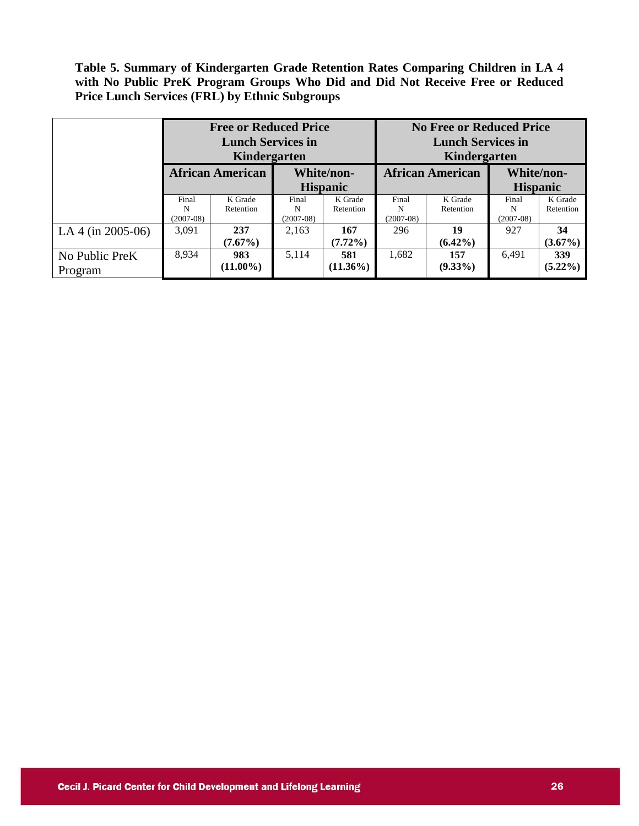**Table 5. Summary of Kindergarten Grade Retention Rates Comparing Children in LA 4 with No Public PreK Program Groups Who Did and Did Not Receive Free or Reduced Price Lunch Services (FRL) by Ethnic Subgroups**

|                   |             | <b>Free or Reduced Price</b><br><b>Lunch Services in</b><br>Kindergarten |             |                               | <b>No Free or Reduced Price</b><br><b>Lunch Services in</b><br>Kindergarten |                         |                               |            |  |
|-------------------|-------------|--------------------------------------------------------------------------|-------------|-------------------------------|-----------------------------------------------------------------------------|-------------------------|-------------------------------|------------|--|
|                   |             | <b>African American</b>                                                  |             | White/non-<br><b>Hispanic</b> |                                                                             | <b>African American</b> | White/non-<br><b>Hispanic</b> |            |  |
|                   |             |                                                                          |             |                               |                                                                             |                         |                               |            |  |
|                   | Final       | K Grade                                                                  | Final       | K Grade                       | Final                                                                       | K Grade                 | Final                         | K Grade    |  |
|                   | N           | Retention                                                                | N           | Retention                     | N                                                                           | Retention               | N                             | Retention  |  |
|                   | $(2007-08)$ |                                                                          | $(2007-08)$ |                               | $(2007-08)$                                                                 |                         | $(2007-08)$                   |            |  |
| LA 4 (in 2005-06) | 3.091       | 237                                                                      | 2,163       | 167                           | 296                                                                         | 19                      | 927                           | 34         |  |
|                   |             | $(7.67\%)$                                                               |             | $(7.72\%)$                    |                                                                             | $(6.42\%)$              |                               | $(3.67\%)$ |  |
| No Public PreK    | 8,934       | 983                                                                      | 5.114       | 581                           | 1,682                                                                       | 157                     | 6.491                         | 339        |  |
| Program           |             | $(11.00\%)$                                                              |             | $(11.36\%)$                   |                                                                             | $(9.33\%)$              |                               | $(5.22\%)$ |  |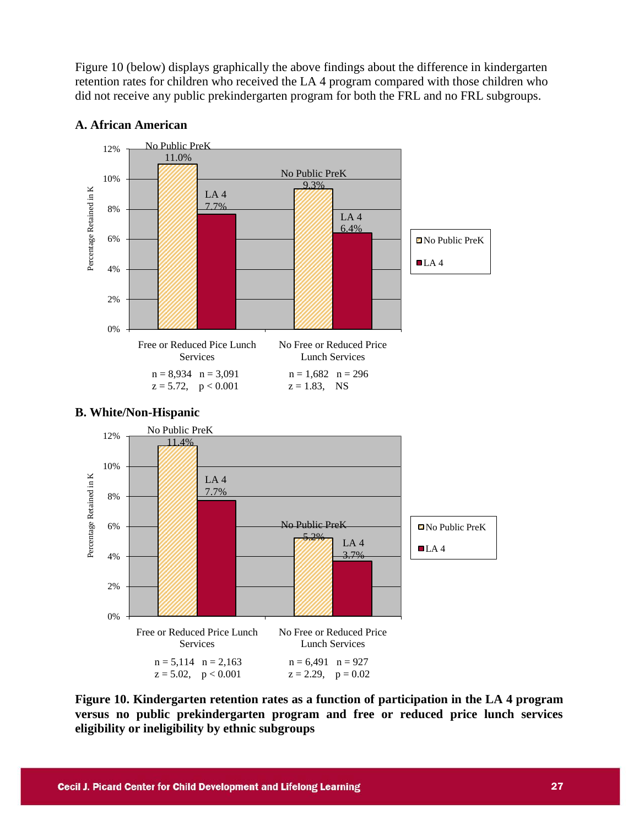Figure 10 (below) displays graphically the above findings about the difference in kindergarten retention rates for children who received the LA 4 program compared with those children who did not receive any public prekindergarten program for both the FRL and no FRL subgroups.



### **A. African American**



### **Figure 10. Kindergarten retention rates as a function of participation in the LA 4 program versus no public prekindergarten program and free or reduced price lunch services eligibility or ineligibility by ethnic subgroups**

# **B. White/Non-Hispanic**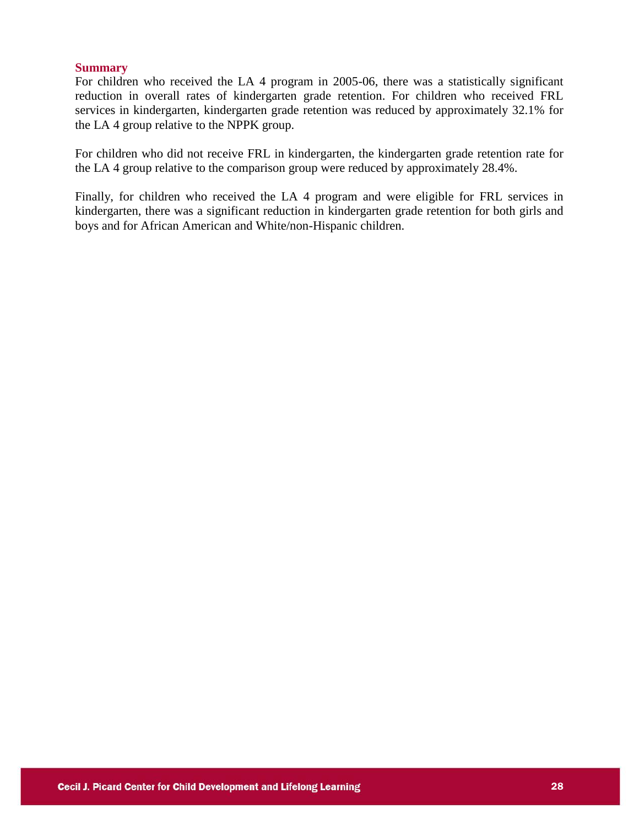### **Summary**

For children who received the LA 4 program in 2005-06, there was a statistically significant reduction in overall rates of kindergarten grade retention. For children who received FRL services in kindergarten, kindergarten grade retention was reduced by approximately 32.1% for the LA 4 group relative to the NPPK group.

For children who did not receive FRL in kindergarten, the kindergarten grade retention rate for the LA 4 group relative to the comparison group were reduced by approximately 28.4%.

Finally, for children who received the LA 4 program and were eligible for FRL services in kindergarten, there was a significant reduction in kindergarten grade retention for both girls and boys and for African American and White/non-Hispanic children.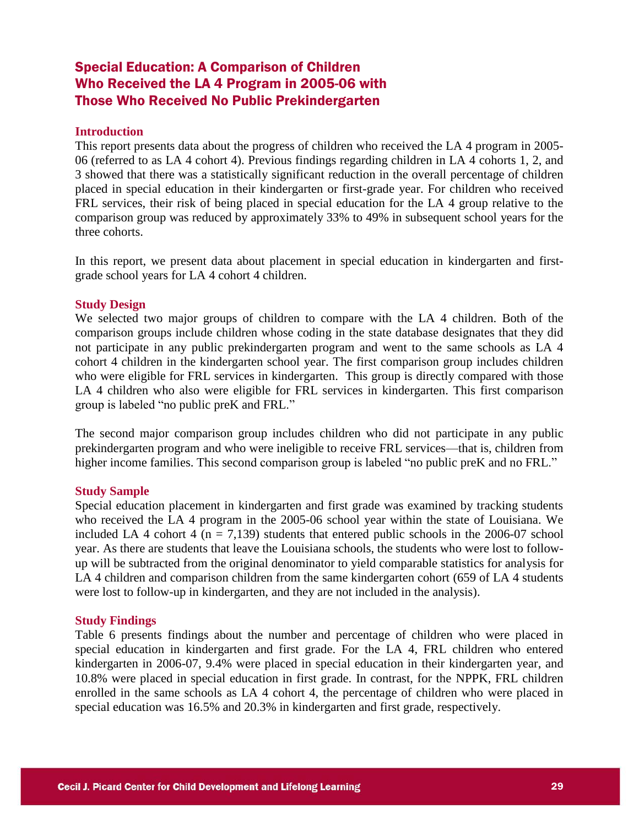### Special Education: A Comparison of Children Who Received the LA 4 Program in 2005-06 with Those Who Received No Public Prekindergarten

### **Introduction**

This report presents data about the progress of children who received the LA 4 program in 2005- 06 (referred to as LA 4 cohort 4). Previous findings regarding children in LA 4 cohorts 1, 2, and 3 showed that there was a statistically significant reduction in the overall percentage of children placed in special education in their kindergarten or first-grade year. For children who received FRL services, their risk of being placed in special education for the LA 4 group relative to the comparison group was reduced by approximately 33% to 49% in subsequent school years for the three cohorts.

In this report, we present data about placement in special education in kindergarten and firstgrade school years for LA 4 cohort 4 children.

### **Study Design**

We selected two major groups of children to compare with the LA 4 children. Both of the comparison groups include children whose coding in the state database designates that they did not participate in any public prekindergarten program and went to the same schools as LA 4 cohort 4 children in the kindergarten school year. The first comparison group includes children who were eligible for FRL services in kindergarten. This group is directly compared with those LA 4 children who also were eligible for FRL services in kindergarten. This first comparison group is labeled "no public preK and FRL."

The second major comparison group includes children who did not participate in any public prekindergarten program and who were ineligible to receive FRL services—that is, children from higher income families. This second comparison group is labeled "no public preK and no FRL."

### **Study Sample**

Special education placement in kindergarten and first grade was examined by tracking students who received the LA 4 program in the 2005-06 school year within the state of Louisiana. We included LA 4 cohort 4 ( $n = 7,139$ ) students that entered public schools in the 2006-07 school year. As there are students that leave the Louisiana schools, the students who were lost to followup will be subtracted from the original denominator to yield comparable statistics for analysis for LA 4 children and comparison children from the same kindergarten cohort (659 of LA 4 students were lost to follow-up in kindergarten, and they are not included in the analysis).

#### **Study Findings**

Table 6 presents findings about the number and percentage of children who were placed in special education in kindergarten and first grade. For the LA 4, FRL children who entered kindergarten in 2006-07, 9.4% were placed in special education in their kindergarten year, and 10.8% were placed in special education in first grade. In contrast, for the NPPK, FRL children enrolled in the same schools as LA 4 cohort 4, the percentage of children who were placed in special education was 16.5% and 20.3% in kindergarten and first grade, respectively.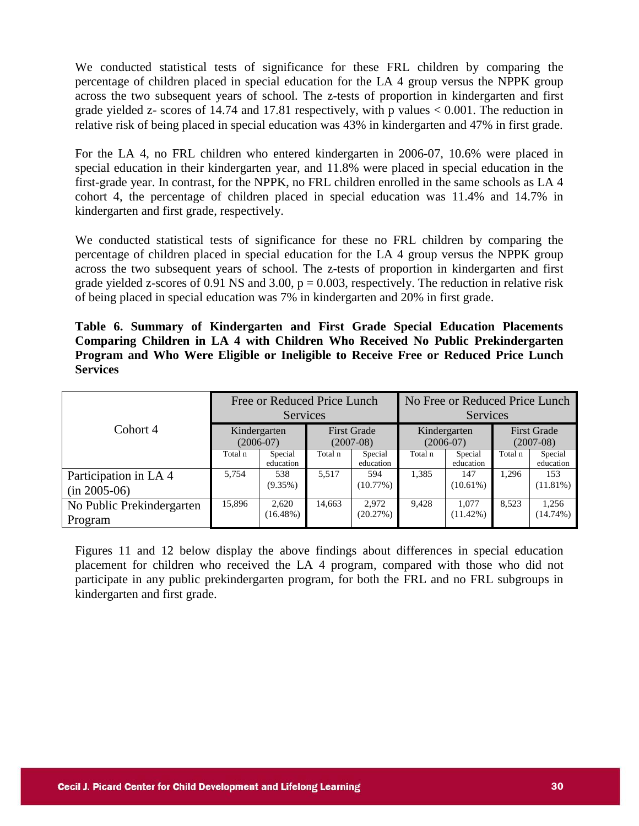We conducted statistical tests of significance for these FRL children by comparing the percentage of children placed in special education for the LA 4 group versus the NPPK group across the two subsequent years of school. The z-tests of proportion in kindergarten and first grade yielded z- scores of 14.74 and 17.81 respectively, with p values  $< 0.001$ . The reduction in relative risk of being placed in special education was 43% in kindergarten and 47% in first grade.

For the LA 4, no FRL children who entered kindergarten in 2006-07, 10.6% were placed in special education in their kindergarten year, and 11.8% were placed in special education in the first-grade year. In contrast, for the NPPK, no FRL children enrolled in the same schools as LA 4 cohort 4, the percentage of children placed in special education was 11.4% and 14.7% in kindergarten and first grade, respectively.

We conducted statistical tests of significance for these no FRL children by comparing the percentage of children placed in special education for the LA 4 group versus the NPPK group across the two subsequent years of school. The z-tests of proportion in kindergarten and first grade yielded z-scores of 0.91 NS and 3.00,  $p = 0.003$ , respectively. The reduction in relative risk of being placed in special education was 7% in kindergarten and 20% in first grade.

**Table 6. Summary of Kindergarten and First Grade Special Education Placements Comparing Children in LA 4 with Children Who Received No Public Prekindergarten Program and Who Were Eligible or Ineligible to Receive Free or Reduced Price Lunch Services**

|                                        |                             | Free or Reduced Price Lunch<br><b>Services</b> |                                   |                      | No Free or Reduced Price Lunch<br><b>Services</b> |                             |                                   |                      |  |
|----------------------------------------|-----------------------------|------------------------------------------------|-----------------------------------|----------------------|---------------------------------------------------|-----------------------------|-----------------------------------|----------------------|--|
| Cohort 4                               | Kindergarten<br>$(2006-07)$ |                                                | <b>First Grade</b><br>$(2007-08)$ |                      |                                                   | Kindergarten<br>$(2006-07)$ | <b>First Grade</b><br>$(2007-08)$ |                      |  |
|                                        | Total n                     | Special<br>education                           | Total n                           | Special<br>education | Total n                                           | Special<br>education        | Total n                           | Special<br>education |  |
| Participation in LA4<br>$(in 2005-06)$ | 5,754                       | 538<br>$(9.35\%)$                              | 5.517                             | 594<br>(10.77%)      | 1,385                                             | 147<br>$(10.61\%)$          | 1.296                             | 153<br>$(11.81\%)$   |  |
| No Public Prekindergarten<br>Program   | 15.896                      | 2,620<br>$(16.48\%)$                           | 14.663                            | 2.972<br>(20.27%)    | 9,428                                             | 1.077<br>$(11.42\%)$        | 8.523                             | 1,256<br>(14.74%)    |  |

Figures 11 and 12 below display the above findings about differences in special education placement for children who received the LA 4 program, compared with those who did not participate in any public prekindergarten program, for both the FRL and no FRL subgroups in kindergarten and first grade.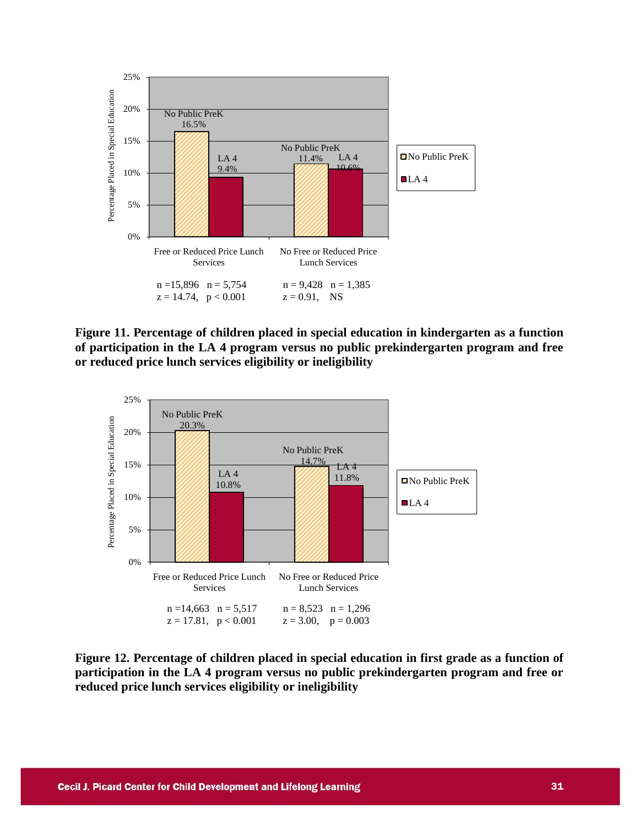

**Figure 11. Percentage of children placed in special education in kindergarten as a function of participation in the LA 4 program versus no public prekindergarten program and free or reduced price lunch services eligibility or ineligibility**



**Figure 12. Percentage of children placed in special education in first grade as a function of participation in the LA 4 program versus no public prekindergarten program and free or reduced price lunch services eligibility or ineligibility**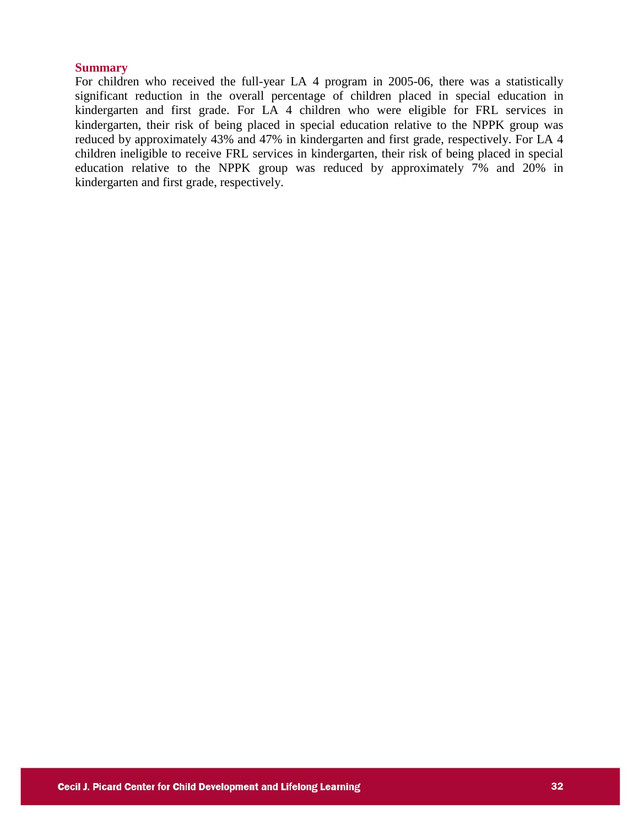#### **Summary**

For children who received the full-year LA 4 program in 2005-06, there was a statistically significant reduction in the overall percentage of children placed in special education in kindergarten and first grade. For LA 4 children who were eligible for FRL services in kindergarten, their risk of being placed in special education relative to the NPPK group was reduced by approximately 43% and 47% in kindergarten and first grade, respectively. For LA 4 children ineligible to receive FRL services in kindergarten, their risk of being placed in special education relative to the NPPK group was reduced by approximately 7% and 20% in kindergarten and first grade, respectively.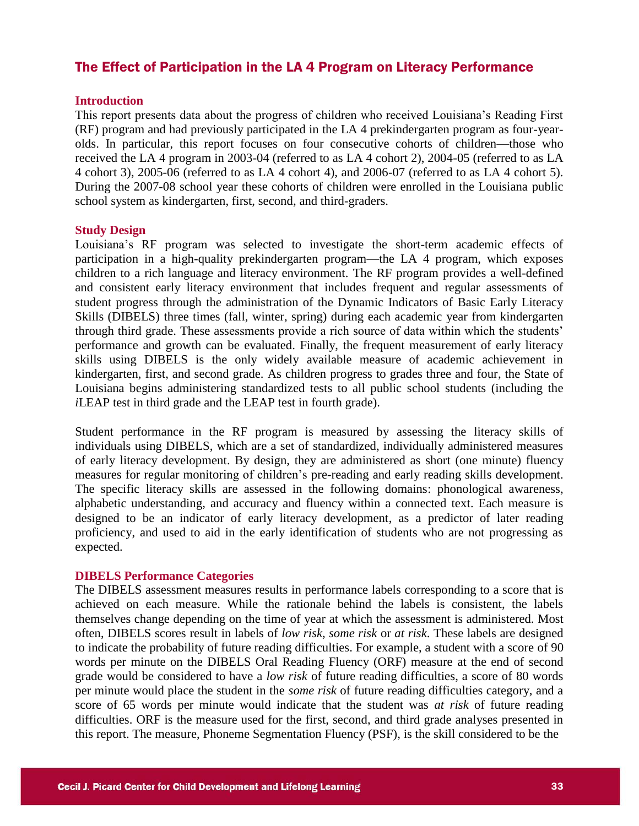### The Effect of Participation in the LA 4 Program on Literacy Performance

#### **Introduction**

This report presents data about the progress of children who received Louisiana's Reading First (RF) program and had previously participated in the LA 4 prekindergarten program as four-yearolds. In particular, this report focuses on four consecutive cohorts of children—those who received the LA 4 program in 2003-04 (referred to as LA 4 cohort 2), 2004-05 (referred to as LA 4 cohort 3), 2005-06 (referred to as LA 4 cohort 4), and 2006-07 (referred to as LA 4 cohort 5). During the 2007-08 school year these cohorts of children were enrolled in the Louisiana public school system as kindergarten, first, second, and third-graders.

### **Study Design**

Louisiana's RF program was selected to investigate the short-term academic effects of participation in a high-quality prekindergarten program—the LA 4 program, which exposes children to a rich language and literacy environment. The RF program provides a well-defined and consistent early literacy environment that includes frequent and regular assessments of student progress through the administration of the Dynamic Indicators of Basic Early Literacy Skills (DIBELS) three times (fall, winter, spring) during each academic year from kindergarten through third grade. These assessments provide a rich source of data within which the students' performance and growth can be evaluated. Finally, the frequent measurement of early literacy skills using DIBELS is the only widely available measure of academic achievement in kindergarten, first, and second grade. As children progress to grades three and four, the State of Louisiana begins administering standardized tests to all public school students (including the *i*LEAP test in third grade and the LEAP test in fourth grade).

Student performance in the RF program is measured by assessing the literacy skills of individuals using DIBELS, which are a set of standardized, individually administered measures of early literacy development. By design, they are administered as short (one minute) fluency measures for regular monitoring of children's pre-reading and early reading skills development. The specific literacy skills are assessed in the following domains: phonological awareness, alphabetic understanding, and accuracy and fluency within a connected text. Each measure is designed to be an indicator of early literacy development, as a predictor of later reading proficiency, and used to aid in the early identification of students who are not progressing as expected.

#### **DIBELS Performance Categories**

The DIBELS assessment measures results in performance labels corresponding to a score that is achieved on each measure. While the rationale behind the labels is consistent, the labels themselves change depending on the time of year at which the assessment is administered. Most often, DIBELS scores result in labels of *low risk*, *some risk* or *at risk*. These labels are designed to indicate the probability of future reading difficulties. For example, a student with a score of 90 words per minute on the DIBELS Oral Reading Fluency (ORF) measure at the end of second grade would be considered to have a *low risk* of future reading difficulties, a score of 80 words per minute would place the student in the *some risk* of future reading difficulties category, and a score of 65 words per minute would indicate that the student was *at risk* of future reading difficulties. ORF is the measure used for the first, second, and third grade analyses presented in this report. The measure, Phoneme Segmentation Fluency (PSF), is the skill considered to be the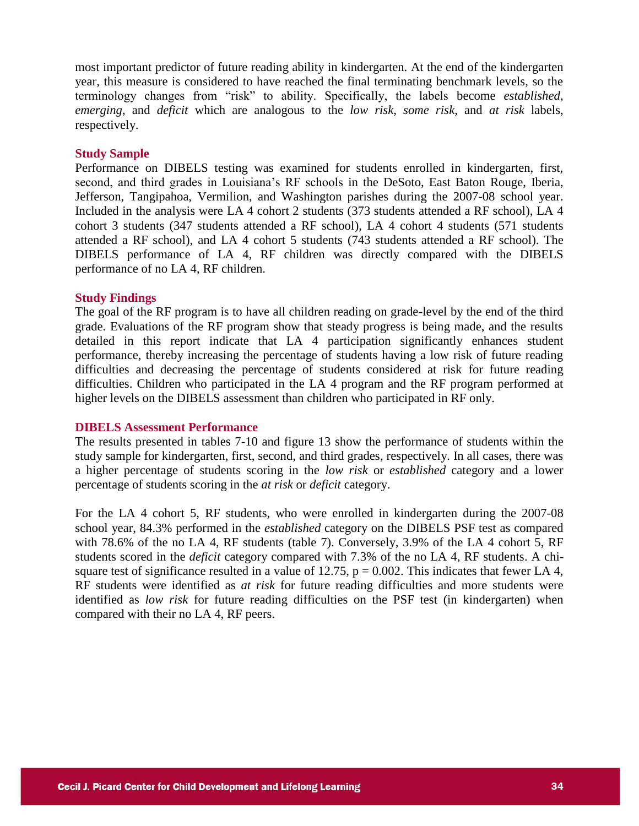most important predictor of future reading ability in kindergarten. At the end of the kindergarten year, this measure is considered to have reached the final terminating benchmark levels, so the terminology changes from "risk" to ability. Specifically, the labels become *established*, *emerging*, and *deficit* which are analogous to the *low risk*, *some risk*, and *at risk* labels, respectively.

### **Study Sample**

Performance on DIBELS testing was examined for students enrolled in kindergarten, first, second, and third grades in Louisiana's RF schools in the DeSoto, East Baton Rouge, Iberia, Jefferson, Tangipahoa, Vermilion, and Washington parishes during the 2007-08 school year. Included in the analysis were LA 4 cohort 2 students (373 students attended a RF school), LA 4 cohort 3 students (347 students attended a RF school), LA 4 cohort 4 students (571 students attended a RF school), and LA 4 cohort 5 students (743 students attended a RF school). The DIBELS performance of LA 4, RF children was directly compared with the DIBELS performance of no LA 4, RF children.

### **Study Findings**

The goal of the RF program is to have all children reading on grade-level by the end of the third grade. Evaluations of the RF program show that steady progress is being made, and the results detailed in this report indicate that LA 4 participation significantly enhances student performance, thereby increasing the percentage of students having a low risk of future reading difficulties and decreasing the percentage of students considered at risk for future reading difficulties. Children who participated in the LA 4 program and the RF program performed at higher levels on the DIBELS assessment than children who participated in RF only.

### **DIBELS Assessment Performance**

The results presented in tables 7-10 and figure 13 show the performance of students within the study sample for kindergarten, first, second, and third grades, respectively. In all cases, there was a higher percentage of students scoring in the *low risk* or *established* category and a lower percentage of students scoring in the *at risk* or *deficit* category.

For the LA 4 cohort 5, RF students, who were enrolled in kindergarten during the 2007-08 school year, 84.3% performed in the *established* category on the DIBELS PSF test as compared with 78.6% of the no LA 4, RF students (table 7). Conversely, 3.9% of the LA 4 cohort 5, RF students scored in the *deficit* category compared with 7.3% of the no LA 4, RF students. A chisquare test of significance resulted in a value of 12.75,  $p = 0.002$ . This indicates that fewer LA 4, RF students were identified as *at risk* for future reading difficulties and more students were identified as *low risk* for future reading difficulties on the PSF test (in kindergarten) when compared with their no LA 4, RF peers.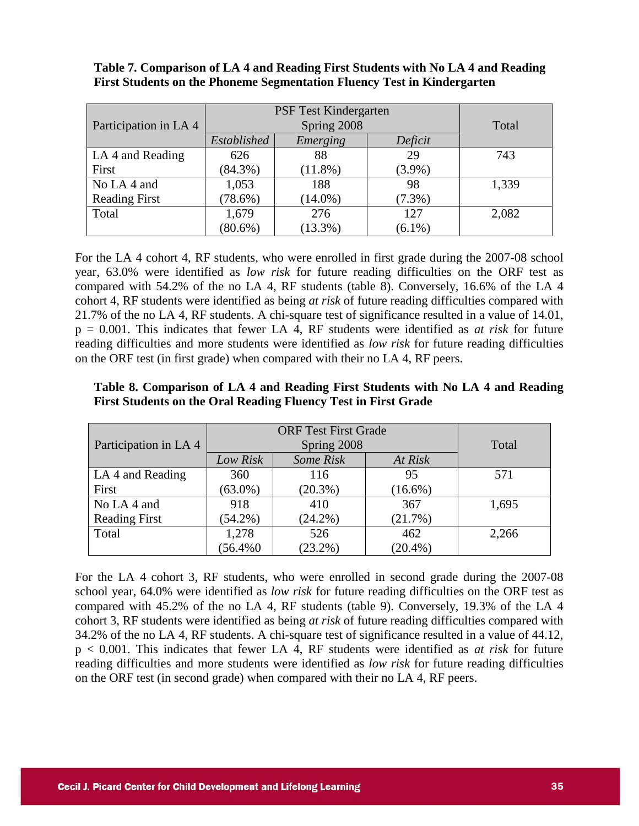|                       |             | PSF Test Kindergarten |           |       |  |  |  |  |
|-----------------------|-------------|-----------------------|-----------|-------|--|--|--|--|
| Participation in LA 4 |             | Spring 2008           |           | Total |  |  |  |  |
|                       | Established | Emerging              | Deficit   |       |  |  |  |  |
| LA 4 and Reading      | 626         | 88                    | 29        | 743   |  |  |  |  |
| First                 | $(84.3\%)$  | $(11.8\%)$            | $(3.9\%)$ |       |  |  |  |  |
| No LA 4 and           | 1,053       | 188                   | 98        | 1,339 |  |  |  |  |
| <b>Reading First</b>  | $(78.6\%)$  | $(14.0\%)$            | $(7.3\%)$ |       |  |  |  |  |
| Total                 | 1,679       | 276                   | 127       | 2,082 |  |  |  |  |
|                       | $(80.6\%)$  | $(13.3\%)$            | $(6.1\%)$ |       |  |  |  |  |

**Table 7. Comparison of LA 4 and Reading First Students with No LA 4 and Reading First Students on the Phoneme Segmentation Fluency Test in Kindergarten**

For the LA 4 cohort 4, RF students, who were enrolled in first grade during the 2007-08 school year, 63.0% were identified as *low risk* for future reading difficulties on the ORF test as compared with 54.2% of the no LA 4, RF students (table 8). Conversely, 16.6% of the LA 4 cohort 4, RF students were identified as being *at risk* of future reading difficulties compared with 21.7% of the no LA 4, RF students. A chi-square test of significance resulted in a value of 14.01, p = 0.001. This indicates that fewer LA 4, RF students were identified as *at risk* for future reading difficulties and more students were identified as *low risk* for future reading difficulties on the ORF test (in first grade) when compared with their no LA 4, RF peers.

|  |  | Table 8. Comparison of LA 4 and Reading First Students with No LA 4 and Reading |  |  |
|--|--|---------------------------------------------------------------------------------|--|--|
|  |  | First Students on the Oral Reading Fluency Test in First Grade                  |  |  |

|                       | <b>ORF Test First Grade</b> |            |            |       |
|-----------------------|-----------------------------|------------|------------|-------|
| Participation in LA 4 | Spring 2008                 |            |            | Total |
|                       | Low Risk                    | Some Risk  | At Risk    |       |
| LA 4 and Reading      | 360                         | 116        | 95         | 571   |
| First                 | $(63.0\%)$                  | $(20.3\%)$ | $(16.6\%)$ |       |
| No LA 4 and           | 918                         | 410        | 367        | 1,695 |
| <b>Reading First</b>  | $(54.2\%)$                  | $(24.2\%)$ | (21.7%)    |       |
| Total                 | 1,278                       | 526        | 462        | 2,266 |
|                       | $(56.4\%0)$                 | $(23.2\%)$ | $(20.4\%)$ |       |

For the LA 4 cohort 3, RF students, who were enrolled in second grade during the 2007-08 school year, 64.0% were identified as *low risk* for future reading difficulties on the ORF test as compared with 45.2% of the no LA 4, RF students (table 9). Conversely, 19.3% of the LA 4 cohort 3, RF students were identified as being *at risk* of future reading difficulties compared with 34.2% of the no LA 4, RF students. A chi-square test of significance resulted in a value of 44.12, p < 0.001. This indicates that fewer LA 4, RF students were identified as *at risk* for future reading difficulties and more students were identified as *low risk* for future reading difficulties on the ORF test (in second grade) when compared with their no LA 4, RF peers.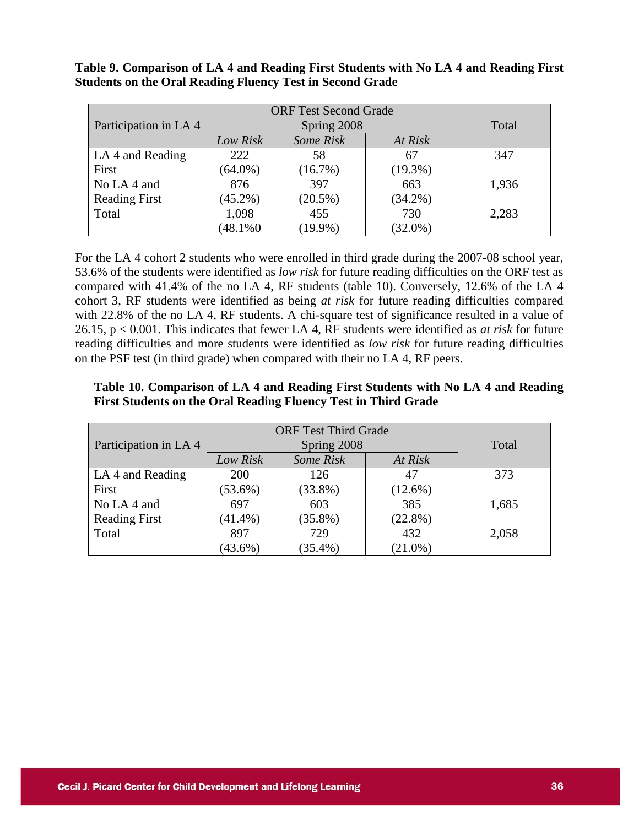| Participation in LA 4 | <b>ORF Test Second Grade</b> | Total                    |            |       |
|-----------------------|------------------------------|--------------------------|------------|-------|
|                       | Low Risk                     | Spring 2008<br>Some Risk | At Risk    |       |
| LA 4 and Reading      | 222                          | 58                       | 67         | 347   |
| First                 | $(64.0\%)$                   | (16.7%)                  | $(19.3\%)$ |       |
| No LA 4 and           | 876                          | 397                      | 663        | 1,936 |
| <b>Reading First</b>  | $(45.2\%)$                   | $(20.5\%)$               | $(34.2\%)$ |       |
| Total                 | 1,098                        | 455                      | 730        | 2,283 |
|                       | $(48.1\%0)$                  | $(19.9\%)$               | $(32.0\%)$ |       |

**Table 9. Comparison of LA 4 and Reading First Students with No LA 4 and Reading First Students on the Oral Reading Fluency Test in Second Grade**

For the LA 4 cohort 2 students who were enrolled in third grade during the 2007-08 school year, 53.6% of the students were identified as *low risk* for future reading difficulties on the ORF test as compared with 41.4% of the no LA 4, RF students (table 10). Conversely, 12.6% of the LA 4 cohort 3, RF students were identified as being *at risk* for future reading difficulties compared with 22.8% of the no LA 4, RF students. A chi-square test of significance resulted in a value of 26.15, p < 0.001. This indicates that fewer LA 4, RF students were identified as *at risk* for future reading difficulties and more students were identified as *low risk* for future reading difficulties on the PSF test (in third grade) when compared with their no LA 4, RF peers.

### **Table 10. Comparison of LA 4 and Reading First Students with No LA 4 and Reading First Students on the Oral Reading Fluency Test in Third Grade**

|                       | <b>ORF Test Third Grade</b> |            |            |       |
|-----------------------|-----------------------------|------------|------------|-------|
| Participation in LA 4 | Spring 2008                 |            |            | Total |
|                       | Low Risk                    | Some Risk  | At Risk    |       |
| LA 4 and Reading      | 200                         | 126        | 47         | 373   |
| First                 | $(53.6\%)$                  | $(33.8\%)$ | $(12.6\%)$ |       |
| No LA 4 and           | 697                         | 603        | 385        | 1,685 |
| <b>Reading First</b>  | $(41.4\%)$                  | $(35.8\%)$ | $(22.8\%)$ |       |
| Total                 | 897                         | 729        | 432        | 2,058 |
|                       | $(43.6\%)$                  | $(35.4\%)$ | $(21.0\%)$ |       |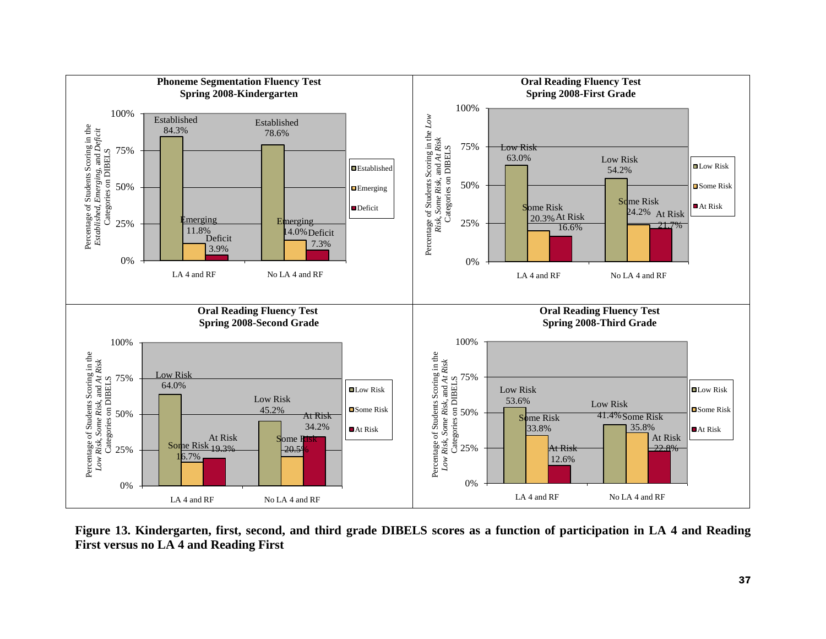

**Figure 13. Kindergarten, first, second, and third grade DIBELS scores as a function of participation in LA 4 and Reading First versus no LA 4 and Reading First**